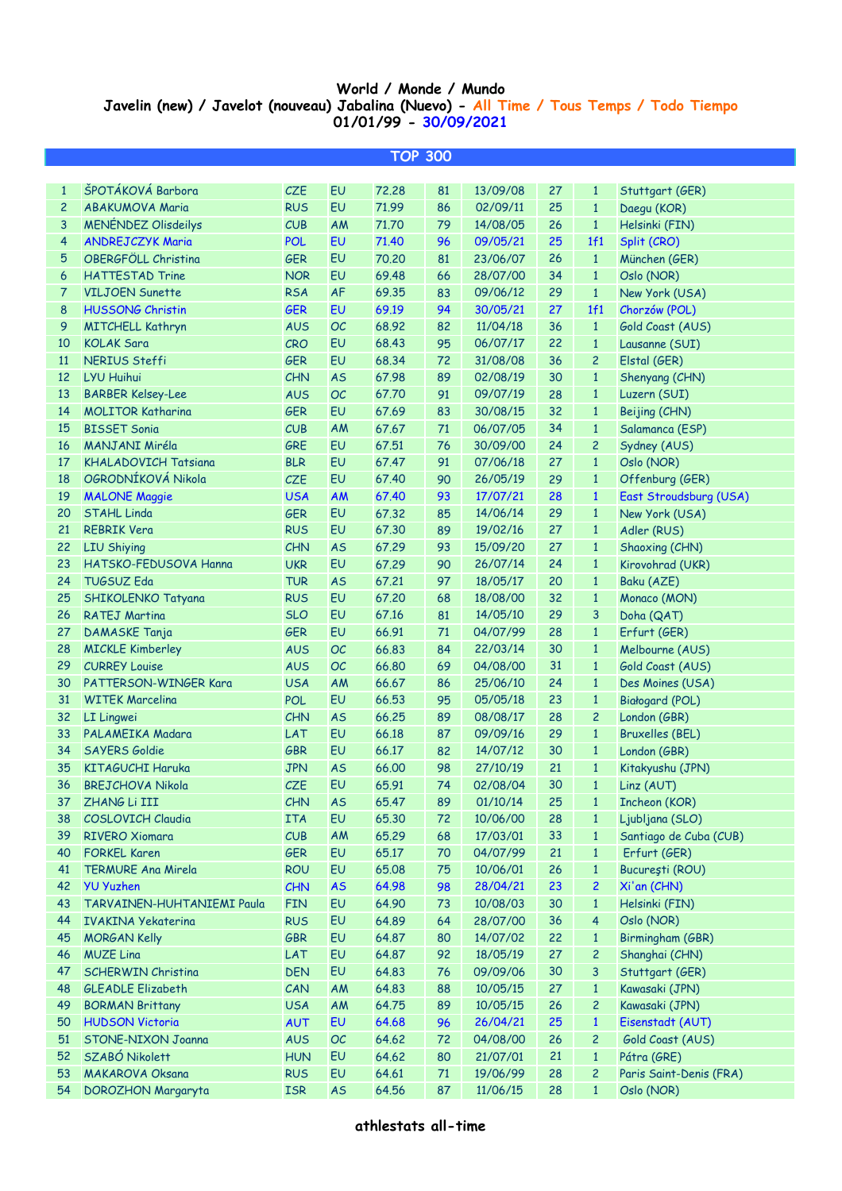## **World / Monde / Mundo Javelin (new) / Javelot (nouveau) Jabalina (Nuevo) - All Time / Tous Temps / Todo Tiempo 01/01/99 - 30/09/2021**

I

| ŠPOTÁKOVÁ Barbora<br>EU<br><b>CZE</b><br>72.28<br>81<br>13/09/08<br>27<br>$\mathbf{1}$<br>$\mathbf{1}$<br>Stuttgart (GER)<br><b>ABAKUMOVA Maria</b><br><b>RUS</b><br>EU<br>71.99<br>86<br>25<br>2<br>02/09/11<br>$\mathbf{1}$<br>Daegu (KOR)<br>3<br><b>MENÉNDEZ Olisdeilys</b><br>AM<br>CUB<br>71.70<br>79<br>26<br>$\mathbf{1}$<br>Helsinki (FIN)<br>14/08/05<br>4<br><b>ANDREJCZYK Maria</b><br>EU<br>71.40<br>25<br>1f1<br><b>POL</b><br>96<br>09/05/21<br>Split (CRO)<br>EU<br>OBERGFÖLL Christina<br><b>GER</b><br>70,20<br>81<br>26<br>$\mathbf{1}$<br>5<br>23/06/07<br>München (GER)<br>EU<br><b>HATTESTAD Trine</b><br><b>NOR</b><br>69.48<br>66<br>34<br>$\mathbf{1}$<br>6<br>28/07/00<br>Oslo (NOR)<br>AF<br><b>VILJOEN Sunette</b><br><b>RSA</b><br>83<br>29<br>$\mathbf{1}$<br>7<br>69.35<br>09/06/12<br>New York (USA)<br><b>HUSSONG Christin</b><br><b>GER</b><br>EU<br>69.19<br>94<br>27<br>1f1<br>8<br>30/05/21<br>Chorzów (POL)<br><b>OC</b><br>9<br><b>AUS</b><br>68.92<br>82<br>36<br>$\mathbf{1}$<br>Gold Coast (AUS)<br><b>MITCHELL Kathryn</b><br>11/04/18<br>EU<br><b>KOLAK Sara</b><br>CRO<br>68.43<br>95<br>22<br>$\mathbf{1}$<br>10<br>06/07/17<br>Lausanne (SUI)<br>EU<br><b>NERIUS Steffi</b><br>68.34<br>72<br>36<br>$\overline{c}$<br>Elstal (GER)<br>11<br><b>GER</b><br>31/08/08<br><b>LYU Huihui</b><br><b>AS</b><br>67.98<br>89<br>30<br>$\mathbf{1}$<br>Shenyang (CHN)<br>12<br><b>CHN</b><br>02/08/19<br><b>OC</b><br><b>BARBER Kelsey-Lee</b><br>67.70<br>91<br>28<br>$\mathbf{1}$<br>Luzern (SUI)<br>13<br><b>AUS</b><br>09/07/19<br>EU<br><b>MOLITOR Katharina</b><br><b>GER</b><br>67.69<br>83<br>32<br>$\mathbf{1}$<br>Beijing (CHN)<br>14<br>30/08/15<br><b>BISSET Sonia</b><br>CUB<br>AM<br>67.67<br>71<br>34<br>$\mathbf{1}$<br>Salamanca (ESP)<br>15<br>06/07/05<br><b>MANJANI Miréla</b><br>GRE<br>EU<br>67.51<br>76<br>24<br>$\overline{c}$<br>Sydney (AUS)<br>16<br>30/09/00<br>EU<br><b>KHALADOVICH Tatsiana</b><br><b>BLR</b><br>67.47<br>91<br>27<br>$\mathbf{1}$<br>17<br>07/06/18<br>Oslo (NOR)<br>OGRODNÍKOVÁ Nikola<br>EU<br><b>CZE</b><br>90<br>29<br>$\mathbf{1}$<br>18<br>67.40<br>26/05/19<br>Offenburg (GER)<br><b>USA</b><br><b>AM</b><br>93<br>28<br>$\mathbf{1}$<br>19<br><b>MALONE Maggie</b><br>67.40<br>17/07/21<br>East Stroudsburg (USA)<br><b>STAHL Linda</b><br><b>GER</b><br>EU<br>67.32<br>85<br>29<br>$\mathbf{1}$<br>20<br>14/06/14<br>New York (USA)<br>EU<br><b>REBRIK Vera</b><br><b>RUS</b><br>67.30<br>89<br>27<br>$\mathbf{1}$<br>21<br>19/02/16<br>Adler (RUS)<br><b>LIU Shiying</b><br>CHN<br><b>AS</b><br>67.29<br>93<br>27<br>$\mathbf{1}$<br>Shaoxing (CHN)<br>22<br>15/09/20<br>EU<br>HATSKO-FEDUSOVA Hanna<br><b>UKR</b><br>67.29<br>90<br>24<br>$\mathbf{1}$<br>23<br>26/07/14<br>Kirovohrad (UKR)<br><b>TUGSUZ Eda</b><br><b>AS</b><br>67.21<br>97<br>20<br>$\mathbf{1}$<br>24<br><b>TUR</b><br>18/05/17<br>Baku (AZE)<br>EU<br>67.20<br>68<br>32<br>25<br>SHIKOLENKO Tatyana<br><b>RUS</b><br>18/08/00<br>$\mathbf{1}$<br>Monaco (MON)<br>EU<br>67.16<br>81<br>29<br>3<br>26<br><b>RATEJ Martina</b><br><b>SLO</b><br>14/05/10<br>Doha (QAT)<br>EU<br><b>GER</b><br>66.91<br>71<br>28<br>27<br>DAMASKE Tanja<br>04/07/99<br>$\mathbf{1}$<br>Erfurt (GER)<br><b>OC</b><br><b>AUS</b><br>66.83<br>84<br>30<br>$\mathbf{1}$<br>Melbourne (AUS)<br>28<br><b>MICKLE Kimberley</b><br>22/03/14<br><b>OC</b><br><b>CURREY Louise</b><br><b>AUS</b><br>66.80<br>69<br>31<br>$\mathbf{1}$<br>Gold Coast (AUS)<br>29<br>04/08/00<br>PATTERSON-WINGER Kara<br>AM<br>66.67<br>24<br>$\mathbf{1}$<br>30<br><b>USA</b><br>86<br>25/06/10<br>Des Moines (USA)<br>EU<br><b>WITEK Marcelina</b><br><b>POL</b><br>66.53<br>95<br>23<br>$\mathbf{1}$<br>Białogard (POL)<br>31<br>05/05/18<br><b>AS</b><br>66.25<br>89<br>28<br>$\overline{c}$<br>London (GBR)<br>32<br>LI Lingwei<br><b>CHN</b><br>08/08/17<br>PALAMEIKA Madara<br>EU<br>66.18<br>87<br>29<br>$\mathbf{1}$<br>33<br>LAT<br>09/09/16<br><b>Bruxelles (BEL)</b><br>EU<br><b>SAYERS Goldie</b><br>66.17<br>82<br>30<br>$\mathbf{1}$<br>34<br><b>GBR</b><br>14/07/12<br>London (GBR)<br><b>JPN</b><br><b>AS</b><br>98<br>21<br>$\mathbf{1}$<br>35<br><b>KITAGUCHI Haruka</b><br>66.00<br>27/10/19<br>Kitakyushu (JPN)<br>74<br>CZE<br>EU<br>30<br><b>BREJCHOVA Nikola</b><br>65.91<br>02/08/04<br>$\mathbf{1}$<br>Linz (AUT)<br>36<br><b>CHN</b><br><b>AS</b><br>65.47<br>01/10/14<br>Incheon (KOR)<br>37<br>ZHANG Li III<br>89<br>25<br>$\mathbf{1}$<br>EU<br><b>COSLOVICH Claudia</b><br><b>ITA</b><br>65.30<br>72<br>10/06/00<br>28<br>Ljubljana (SLO)<br>38<br>$\mathbf{1}$<br><b>RIVERO Xiomara</b><br>CUB<br>AM<br>65.29<br>68<br>33<br>Santiago de Cuba (CUB)<br>39<br>17/03/01<br>$\mathbf{1}$<br>EU<br><b>FORKEL Karen</b><br><b>GER</b><br>65.17<br>70<br>04/07/99<br>21<br>$\mathbf{1}$<br>Erfurt (GER)<br>40<br>EU<br><b>TERMURE Ana Mirela</b><br><b>ROU</b><br>65.08<br>75<br>26<br>București (ROU)<br>41<br>10/06/01<br>$\mathbf{1}$<br>42<br><b>YU Yuzhen</b><br><b>CHN</b><br><b>AS</b><br>64.98<br>98<br>23<br>$\overline{c}$<br>Xi'an (CHN)<br>28/04/21<br>EU<br>64.90<br>43<br><b>TARVAINEN-HUHTANIEMI Paula</b><br><b>FIN</b><br>73<br>10/08/03<br>30<br>Helsinki (FIN)<br>$\mathbf{1}$<br>EU<br>64.89<br>Oslo (NOR)<br>44<br><b>RUS</b><br>64<br>28/07/00<br>36<br>4<br><b>IVAKINA Yekaterina</b><br>EU<br>22<br>45<br><b>GBR</b><br>64.87<br>80<br>14/07/02<br>Birmingham (GBR)<br><b>MORGAN Kelly</b><br>$\mathbf{1}$<br><b>MUZE Lina</b><br>EU<br>64.87<br>$\overline{c}$<br>Shanghai (CHN)<br>46<br>LAT<br>92<br>18/05/19<br>27<br>EU<br>47<br><b>SCHERWIN Christina</b><br><b>DEN</b><br>64.83<br>76<br>30<br>3<br>Stuttgart (GER)<br>09/09/06<br><b>GLEADLE Elizabeth</b><br>AM<br>64.83<br>27<br>$\mathbf{1}$<br>Kawasaki (JPN)<br>48<br>CAN<br>88<br>10/05/15<br>AM<br>64.75<br>$\overline{c}$<br>Kawasaki (JPN)<br>49<br><b>BORMAN Brittany</b><br><b>USA</b><br>89<br>10/05/15<br>26<br><b>HUDSON Victoria</b><br>EU<br>64.68<br>25<br>$\mathbf{1}$<br>Eisenstadt (AUT)<br>96<br>26/04/21<br>50<br><b>AUT</b><br>OC<br>64.62<br>51<br>STONE-NIXON Joanna<br>72<br>04/08/00<br>26<br>$\overline{c}$<br>Gold Coast (AUS)<br><b>AUS</b><br>SZABÓ Nikolett<br>52<br>EU<br>64.62<br>80<br>21/07/01<br>21<br>$\mathbf{1}$<br>Pátra (GRE)<br><b>HUN</b><br>EU<br>64.61<br>28<br>$\overline{c}$<br>53<br><b>MAKAROVA Oksana</b><br><b>RUS</b><br>71<br>19/06/99<br>Paris Saint-Denis (FRA)<br>$\mathbf{1}$<br>54 | <b>TOP 300</b>            |            |           |       |    |          |    |  |            |  |  |  |
|------------------------------------------------------------------------------------------------------------------------------------------------------------------------------------------------------------------------------------------------------------------------------------------------------------------------------------------------------------------------------------------------------------------------------------------------------------------------------------------------------------------------------------------------------------------------------------------------------------------------------------------------------------------------------------------------------------------------------------------------------------------------------------------------------------------------------------------------------------------------------------------------------------------------------------------------------------------------------------------------------------------------------------------------------------------------------------------------------------------------------------------------------------------------------------------------------------------------------------------------------------------------------------------------------------------------------------------------------------------------------------------------------------------------------------------------------------------------------------------------------------------------------------------------------------------------------------------------------------------------------------------------------------------------------------------------------------------------------------------------------------------------------------------------------------------------------------------------------------------------------------------------------------------------------------------------------------------------------------------------------------------------------------------------------------------------------------------------------------------------------------------------------------------------------------------------------------------------------------------------------------------------------------------------------------------------------------------------------------------------------------------------------------------------------------------------------------------------------------------------------------------------------------------------------------------------------------------------------------------------------------------------------------------------------------------------------------------------------------------------------------------------------------------------------------------------------------------------------------------------------------------------------------------------------------------------------------------------------------------------------------------------------------------------------------------------------------------------------------------------------------------------------------------------------------------------------------------------------------------------------------------------------------------------------------------------------------------------------------------------------------------------------------------------------------------------------------------------------------------------------------------------------------------------------------------------------------------------------------------------------------------------------------------------------------------------------------------------------------------------------------------------------------------------------------------------------------------------------------------------------------------------------------------------------------------------------------------------------------------------------------------------------------------------------------------------------------------------------------------------------------------------------------------------------------------------------------------------------------------------------------------------------------------------------------------------------------------------------------------------------------------------------------------------------------------------------------------------------------------------------------------------------------------------------------------------------------------------------------------------------------------------------------------------------------------------------------------------------------------------------------------------------------------------------------------------------------------------------------------------------------------------------------------------------------------------------------------------------------------------------------------------------------------------------------------------------------------------------------------------------------------------------------------------------------------------------------------------------------------------------------------------------------------------------------------------------------------------------------------------------------------------------------------------------------------------------------------------------------------------------------------------------------------------------------------------------------------------------------------------------------------------------------------------------------------------------------------------------------------------------------------------------------------------------------------------------------------------------------------------------------------------------------------------------------------------------------------------------------------------------------------------------------------------------------------------------------------------------------------------------------------------------------------------------------------------------------------------------------------------------------------------------------------------------------------------------------------------------------------------------------------------------------------------------------------------------------------------------|---------------------------|------------|-----------|-------|----|----------|----|--|------------|--|--|--|
|                                                                                                                                                                                                                                                                                                                                                                                                                                                                                                                                                                                                                                                                                                                                                                                                                                                                                                                                                                                                                                                                                                                                                                                                                                                                                                                                                                                                                                                                                                                                                                                                                                                                                                                                                                                                                                                                                                                                                                                                                                                                                                                                                                                                                                                                                                                                                                                                                                                                                                                                                                                                                                                                                                                                                                                                                                                                                                                                                                                                                                                                                                                                                                                                                                                                                                                                                                                                                                                                                                                                                                                                                                                                                                                                                                                                                                                                                                                                                                                                                                                                                                                                                                                                                                                                                                                                                                                                                                                                                                                                                                                                                                                                                                                                                                                                                                                                                                                                                                                                                                                                                                                                                                                                                                                                                                                                                                                                                                                                                                                                                                                                                                                                                                                                                                                                                                                                                                                                                                                                                                                                                                                                                                                                                                                                                                                                                                                                                                                                              |                           |            |           |       |    |          |    |  |            |  |  |  |
|                                                                                                                                                                                                                                                                                                                                                                                                                                                                                                                                                                                                                                                                                                                                                                                                                                                                                                                                                                                                                                                                                                                                                                                                                                                                                                                                                                                                                                                                                                                                                                                                                                                                                                                                                                                                                                                                                                                                                                                                                                                                                                                                                                                                                                                                                                                                                                                                                                                                                                                                                                                                                                                                                                                                                                                                                                                                                                                                                                                                                                                                                                                                                                                                                                                                                                                                                                                                                                                                                                                                                                                                                                                                                                                                                                                                                                                                                                                                                                                                                                                                                                                                                                                                                                                                                                                                                                                                                                                                                                                                                                                                                                                                                                                                                                                                                                                                                                                                                                                                                                                                                                                                                                                                                                                                                                                                                                                                                                                                                                                                                                                                                                                                                                                                                                                                                                                                                                                                                                                                                                                                                                                                                                                                                                                                                                                                                                                                                                                                              |                           |            |           |       |    |          |    |  |            |  |  |  |
|                                                                                                                                                                                                                                                                                                                                                                                                                                                                                                                                                                                                                                                                                                                                                                                                                                                                                                                                                                                                                                                                                                                                                                                                                                                                                                                                                                                                                                                                                                                                                                                                                                                                                                                                                                                                                                                                                                                                                                                                                                                                                                                                                                                                                                                                                                                                                                                                                                                                                                                                                                                                                                                                                                                                                                                                                                                                                                                                                                                                                                                                                                                                                                                                                                                                                                                                                                                                                                                                                                                                                                                                                                                                                                                                                                                                                                                                                                                                                                                                                                                                                                                                                                                                                                                                                                                                                                                                                                                                                                                                                                                                                                                                                                                                                                                                                                                                                                                                                                                                                                                                                                                                                                                                                                                                                                                                                                                                                                                                                                                                                                                                                                                                                                                                                                                                                                                                                                                                                                                                                                                                                                                                                                                                                                                                                                                                                                                                                                                                              |                           |            |           |       |    |          |    |  |            |  |  |  |
|                                                                                                                                                                                                                                                                                                                                                                                                                                                                                                                                                                                                                                                                                                                                                                                                                                                                                                                                                                                                                                                                                                                                                                                                                                                                                                                                                                                                                                                                                                                                                                                                                                                                                                                                                                                                                                                                                                                                                                                                                                                                                                                                                                                                                                                                                                                                                                                                                                                                                                                                                                                                                                                                                                                                                                                                                                                                                                                                                                                                                                                                                                                                                                                                                                                                                                                                                                                                                                                                                                                                                                                                                                                                                                                                                                                                                                                                                                                                                                                                                                                                                                                                                                                                                                                                                                                                                                                                                                                                                                                                                                                                                                                                                                                                                                                                                                                                                                                                                                                                                                                                                                                                                                                                                                                                                                                                                                                                                                                                                                                                                                                                                                                                                                                                                                                                                                                                                                                                                                                                                                                                                                                                                                                                                                                                                                                                                                                                                                                                              |                           |            |           |       |    |          |    |  |            |  |  |  |
|                                                                                                                                                                                                                                                                                                                                                                                                                                                                                                                                                                                                                                                                                                                                                                                                                                                                                                                                                                                                                                                                                                                                                                                                                                                                                                                                                                                                                                                                                                                                                                                                                                                                                                                                                                                                                                                                                                                                                                                                                                                                                                                                                                                                                                                                                                                                                                                                                                                                                                                                                                                                                                                                                                                                                                                                                                                                                                                                                                                                                                                                                                                                                                                                                                                                                                                                                                                                                                                                                                                                                                                                                                                                                                                                                                                                                                                                                                                                                                                                                                                                                                                                                                                                                                                                                                                                                                                                                                                                                                                                                                                                                                                                                                                                                                                                                                                                                                                                                                                                                                                                                                                                                                                                                                                                                                                                                                                                                                                                                                                                                                                                                                                                                                                                                                                                                                                                                                                                                                                                                                                                                                                                                                                                                                                                                                                                                                                                                                                                              |                           |            |           |       |    |          |    |  |            |  |  |  |
|                                                                                                                                                                                                                                                                                                                                                                                                                                                                                                                                                                                                                                                                                                                                                                                                                                                                                                                                                                                                                                                                                                                                                                                                                                                                                                                                                                                                                                                                                                                                                                                                                                                                                                                                                                                                                                                                                                                                                                                                                                                                                                                                                                                                                                                                                                                                                                                                                                                                                                                                                                                                                                                                                                                                                                                                                                                                                                                                                                                                                                                                                                                                                                                                                                                                                                                                                                                                                                                                                                                                                                                                                                                                                                                                                                                                                                                                                                                                                                                                                                                                                                                                                                                                                                                                                                                                                                                                                                                                                                                                                                                                                                                                                                                                                                                                                                                                                                                                                                                                                                                                                                                                                                                                                                                                                                                                                                                                                                                                                                                                                                                                                                                                                                                                                                                                                                                                                                                                                                                                                                                                                                                                                                                                                                                                                                                                                                                                                                                                              |                           |            |           |       |    |          |    |  |            |  |  |  |
|                                                                                                                                                                                                                                                                                                                                                                                                                                                                                                                                                                                                                                                                                                                                                                                                                                                                                                                                                                                                                                                                                                                                                                                                                                                                                                                                                                                                                                                                                                                                                                                                                                                                                                                                                                                                                                                                                                                                                                                                                                                                                                                                                                                                                                                                                                                                                                                                                                                                                                                                                                                                                                                                                                                                                                                                                                                                                                                                                                                                                                                                                                                                                                                                                                                                                                                                                                                                                                                                                                                                                                                                                                                                                                                                                                                                                                                                                                                                                                                                                                                                                                                                                                                                                                                                                                                                                                                                                                                                                                                                                                                                                                                                                                                                                                                                                                                                                                                                                                                                                                                                                                                                                                                                                                                                                                                                                                                                                                                                                                                                                                                                                                                                                                                                                                                                                                                                                                                                                                                                                                                                                                                                                                                                                                                                                                                                                                                                                                                                              |                           |            |           |       |    |          |    |  |            |  |  |  |
|                                                                                                                                                                                                                                                                                                                                                                                                                                                                                                                                                                                                                                                                                                                                                                                                                                                                                                                                                                                                                                                                                                                                                                                                                                                                                                                                                                                                                                                                                                                                                                                                                                                                                                                                                                                                                                                                                                                                                                                                                                                                                                                                                                                                                                                                                                                                                                                                                                                                                                                                                                                                                                                                                                                                                                                                                                                                                                                                                                                                                                                                                                                                                                                                                                                                                                                                                                                                                                                                                                                                                                                                                                                                                                                                                                                                                                                                                                                                                                                                                                                                                                                                                                                                                                                                                                                                                                                                                                                                                                                                                                                                                                                                                                                                                                                                                                                                                                                                                                                                                                                                                                                                                                                                                                                                                                                                                                                                                                                                                                                                                                                                                                                                                                                                                                                                                                                                                                                                                                                                                                                                                                                                                                                                                                                                                                                                                                                                                                                                              |                           |            |           |       |    |          |    |  |            |  |  |  |
|                                                                                                                                                                                                                                                                                                                                                                                                                                                                                                                                                                                                                                                                                                                                                                                                                                                                                                                                                                                                                                                                                                                                                                                                                                                                                                                                                                                                                                                                                                                                                                                                                                                                                                                                                                                                                                                                                                                                                                                                                                                                                                                                                                                                                                                                                                                                                                                                                                                                                                                                                                                                                                                                                                                                                                                                                                                                                                                                                                                                                                                                                                                                                                                                                                                                                                                                                                                                                                                                                                                                                                                                                                                                                                                                                                                                                                                                                                                                                                                                                                                                                                                                                                                                                                                                                                                                                                                                                                                                                                                                                                                                                                                                                                                                                                                                                                                                                                                                                                                                                                                                                                                                                                                                                                                                                                                                                                                                                                                                                                                                                                                                                                                                                                                                                                                                                                                                                                                                                                                                                                                                                                                                                                                                                                                                                                                                                                                                                                                                              |                           |            |           |       |    |          |    |  |            |  |  |  |
|                                                                                                                                                                                                                                                                                                                                                                                                                                                                                                                                                                                                                                                                                                                                                                                                                                                                                                                                                                                                                                                                                                                                                                                                                                                                                                                                                                                                                                                                                                                                                                                                                                                                                                                                                                                                                                                                                                                                                                                                                                                                                                                                                                                                                                                                                                                                                                                                                                                                                                                                                                                                                                                                                                                                                                                                                                                                                                                                                                                                                                                                                                                                                                                                                                                                                                                                                                                                                                                                                                                                                                                                                                                                                                                                                                                                                                                                                                                                                                                                                                                                                                                                                                                                                                                                                                                                                                                                                                                                                                                                                                                                                                                                                                                                                                                                                                                                                                                                                                                                                                                                                                                                                                                                                                                                                                                                                                                                                                                                                                                                                                                                                                                                                                                                                                                                                                                                                                                                                                                                                                                                                                                                                                                                                                                                                                                                                                                                                                                                              |                           |            |           |       |    |          |    |  |            |  |  |  |
|                                                                                                                                                                                                                                                                                                                                                                                                                                                                                                                                                                                                                                                                                                                                                                                                                                                                                                                                                                                                                                                                                                                                                                                                                                                                                                                                                                                                                                                                                                                                                                                                                                                                                                                                                                                                                                                                                                                                                                                                                                                                                                                                                                                                                                                                                                                                                                                                                                                                                                                                                                                                                                                                                                                                                                                                                                                                                                                                                                                                                                                                                                                                                                                                                                                                                                                                                                                                                                                                                                                                                                                                                                                                                                                                                                                                                                                                                                                                                                                                                                                                                                                                                                                                                                                                                                                                                                                                                                                                                                                                                                                                                                                                                                                                                                                                                                                                                                                                                                                                                                                                                                                                                                                                                                                                                                                                                                                                                                                                                                                                                                                                                                                                                                                                                                                                                                                                                                                                                                                                                                                                                                                                                                                                                                                                                                                                                                                                                                                                              |                           |            |           |       |    |          |    |  |            |  |  |  |
|                                                                                                                                                                                                                                                                                                                                                                                                                                                                                                                                                                                                                                                                                                                                                                                                                                                                                                                                                                                                                                                                                                                                                                                                                                                                                                                                                                                                                                                                                                                                                                                                                                                                                                                                                                                                                                                                                                                                                                                                                                                                                                                                                                                                                                                                                                                                                                                                                                                                                                                                                                                                                                                                                                                                                                                                                                                                                                                                                                                                                                                                                                                                                                                                                                                                                                                                                                                                                                                                                                                                                                                                                                                                                                                                                                                                                                                                                                                                                                                                                                                                                                                                                                                                                                                                                                                                                                                                                                                                                                                                                                                                                                                                                                                                                                                                                                                                                                                                                                                                                                                                                                                                                                                                                                                                                                                                                                                                                                                                                                                                                                                                                                                                                                                                                                                                                                                                                                                                                                                                                                                                                                                                                                                                                                                                                                                                                                                                                                                                              |                           |            |           |       |    |          |    |  |            |  |  |  |
|                                                                                                                                                                                                                                                                                                                                                                                                                                                                                                                                                                                                                                                                                                                                                                                                                                                                                                                                                                                                                                                                                                                                                                                                                                                                                                                                                                                                                                                                                                                                                                                                                                                                                                                                                                                                                                                                                                                                                                                                                                                                                                                                                                                                                                                                                                                                                                                                                                                                                                                                                                                                                                                                                                                                                                                                                                                                                                                                                                                                                                                                                                                                                                                                                                                                                                                                                                                                                                                                                                                                                                                                                                                                                                                                                                                                                                                                                                                                                                                                                                                                                                                                                                                                                                                                                                                                                                                                                                                                                                                                                                                                                                                                                                                                                                                                                                                                                                                                                                                                                                                                                                                                                                                                                                                                                                                                                                                                                                                                                                                                                                                                                                                                                                                                                                                                                                                                                                                                                                                                                                                                                                                                                                                                                                                                                                                                                                                                                                                                              |                           |            |           |       |    |          |    |  |            |  |  |  |
|                                                                                                                                                                                                                                                                                                                                                                                                                                                                                                                                                                                                                                                                                                                                                                                                                                                                                                                                                                                                                                                                                                                                                                                                                                                                                                                                                                                                                                                                                                                                                                                                                                                                                                                                                                                                                                                                                                                                                                                                                                                                                                                                                                                                                                                                                                                                                                                                                                                                                                                                                                                                                                                                                                                                                                                                                                                                                                                                                                                                                                                                                                                                                                                                                                                                                                                                                                                                                                                                                                                                                                                                                                                                                                                                                                                                                                                                                                                                                                                                                                                                                                                                                                                                                                                                                                                                                                                                                                                                                                                                                                                                                                                                                                                                                                                                                                                                                                                                                                                                                                                                                                                                                                                                                                                                                                                                                                                                                                                                                                                                                                                                                                                                                                                                                                                                                                                                                                                                                                                                                                                                                                                                                                                                                                                                                                                                                                                                                                                                              |                           |            |           |       |    |          |    |  |            |  |  |  |
|                                                                                                                                                                                                                                                                                                                                                                                                                                                                                                                                                                                                                                                                                                                                                                                                                                                                                                                                                                                                                                                                                                                                                                                                                                                                                                                                                                                                                                                                                                                                                                                                                                                                                                                                                                                                                                                                                                                                                                                                                                                                                                                                                                                                                                                                                                                                                                                                                                                                                                                                                                                                                                                                                                                                                                                                                                                                                                                                                                                                                                                                                                                                                                                                                                                                                                                                                                                                                                                                                                                                                                                                                                                                                                                                                                                                                                                                                                                                                                                                                                                                                                                                                                                                                                                                                                                                                                                                                                                                                                                                                                                                                                                                                                                                                                                                                                                                                                                                                                                                                                                                                                                                                                                                                                                                                                                                                                                                                                                                                                                                                                                                                                                                                                                                                                                                                                                                                                                                                                                                                                                                                                                                                                                                                                                                                                                                                                                                                                                                              |                           |            |           |       |    |          |    |  |            |  |  |  |
|                                                                                                                                                                                                                                                                                                                                                                                                                                                                                                                                                                                                                                                                                                                                                                                                                                                                                                                                                                                                                                                                                                                                                                                                                                                                                                                                                                                                                                                                                                                                                                                                                                                                                                                                                                                                                                                                                                                                                                                                                                                                                                                                                                                                                                                                                                                                                                                                                                                                                                                                                                                                                                                                                                                                                                                                                                                                                                                                                                                                                                                                                                                                                                                                                                                                                                                                                                                                                                                                                                                                                                                                                                                                                                                                                                                                                                                                                                                                                                                                                                                                                                                                                                                                                                                                                                                                                                                                                                                                                                                                                                                                                                                                                                                                                                                                                                                                                                                                                                                                                                                                                                                                                                                                                                                                                                                                                                                                                                                                                                                                                                                                                                                                                                                                                                                                                                                                                                                                                                                                                                                                                                                                                                                                                                                                                                                                                                                                                                                                              |                           |            |           |       |    |          |    |  |            |  |  |  |
|                                                                                                                                                                                                                                                                                                                                                                                                                                                                                                                                                                                                                                                                                                                                                                                                                                                                                                                                                                                                                                                                                                                                                                                                                                                                                                                                                                                                                                                                                                                                                                                                                                                                                                                                                                                                                                                                                                                                                                                                                                                                                                                                                                                                                                                                                                                                                                                                                                                                                                                                                                                                                                                                                                                                                                                                                                                                                                                                                                                                                                                                                                                                                                                                                                                                                                                                                                                                                                                                                                                                                                                                                                                                                                                                                                                                                                                                                                                                                                                                                                                                                                                                                                                                                                                                                                                                                                                                                                                                                                                                                                                                                                                                                                                                                                                                                                                                                                                                                                                                                                                                                                                                                                                                                                                                                                                                                                                                                                                                                                                                                                                                                                                                                                                                                                                                                                                                                                                                                                                                                                                                                                                                                                                                                                                                                                                                                                                                                                                                              |                           |            |           |       |    |          |    |  |            |  |  |  |
|                                                                                                                                                                                                                                                                                                                                                                                                                                                                                                                                                                                                                                                                                                                                                                                                                                                                                                                                                                                                                                                                                                                                                                                                                                                                                                                                                                                                                                                                                                                                                                                                                                                                                                                                                                                                                                                                                                                                                                                                                                                                                                                                                                                                                                                                                                                                                                                                                                                                                                                                                                                                                                                                                                                                                                                                                                                                                                                                                                                                                                                                                                                                                                                                                                                                                                                                                                                                                                                                                                                                                                                                                                                                                                                                                                                                                                                                                                                                                                                                                                                                                                                                                                                                                                                                                                                                                                                                                                                                                                                                                                                                                                                                                                                                                                                                                                                                                                                                                                                                                                                                                                                                                                                                                                                                                                                                                                                                                                                                                                                                                                                                                                                                                                                                                                                                                                                                                                                                                                                                                                                                                                                                                                                                                                                                                                                                                                                                                                                                              |                           |            |           |       |    |          |    |  |            |  |  |  |
|                                                                                                                                                                                                                                                                                                                                                                                                                                                                                                                                                                                                                                                                                                                                                                                                                                                                                                                                                                                                                                                                                                                                                                                                                                                                                                                                                                                                                                                                                                                                                                                                                                                                                                                                                                                                                                                                                                                                                                                                                                                                                                                                                                                                                                                                                                                                                                                                                                                                                                                                                                                                                                                                                                                                                                                                                                                                                                                                                                                                                                                                                                                                                                                                                                                                                                                                                                                                                                                                                                                                                                                                                                                                                                                                                                                                                                                                                                                                                                                                                                                                                                                                                                                                                                                                                                                                                                                                                                                                                                                                                                                                                                                                                                                                                                                                                                                                                                                                                                                                                                                                                                                                                                                                                                                                                                                                                                                                                                                                                                                                                                                                                                                                                                                                                                                                                                                                                                                                                                                                                                                                                                                                                                                                                                                                                                                                                                                                                                                                              |                           |            |           |       |    |          |    |  |            |  |  |  |
|                                                                                                                                                                                                                                                                                                                                                                                                                                                                                                                                                                                                                                                                                                                                                                                                                                                                                                                                                                                                                                                                                                                                                                                                                                                                                                                                                                                                                                                                                                                                                                                                                                                                                                                                                                                                                                                                                                                                                                                                                                                                                                                                                                                                                                                                                                                                                                                                                                                                                                                                                                                                                                                                                                                                                                                                                                                                                                                                                                                                                                                                                                                                                                                                                                                                                                                                                                                                                                                                                                                                                                                                                                                                                                                                                                                                                                                                                                                                                                                                                                                                                                                                                                                                                                                                                                                                                                                                                                                                                                                                                                                                                                                                                                                                                                                                                                                                                                                                                                                                                                                                                                                                                                                                                                                                                                                                                                                                                                                                                                                                                                                                                                                                                                                                                                                                                                                                                                                                                                                                                                                                                                                                                                                                                                                                                                                                                                                                                                                                              |                           |            |           |       |    |          |    |  |            |  |  |  |
|                                                                                                                                                                                                                                                                                                                                                                                                                                                                                                                                                                                                                                                                                                                                                                                                                                                                                                                                                                                                                                                                                                                                                                                                                                                                                                                                                                                                                                                                                                                                                                                                                                                                                                                                                                                                                                                                                                                                                                                                                                                                                                                                                                                                                                                                                                                                                                                                                                                                                                                                                                                                                                                                                                                                                                                                                                                                                                                                                                                                                                                                                                                                                                                                                                                                                                                                                                                                                                                                                                                                                                                                                                                                                                                                                                                                                                                                                                                                                                                                                                                                                                                                                                                                                                                                                                                                                                                                                                                                                                                                                                                                                                                                                                                                                                                                                                                                                                                                                                                                                                                                                                                                                                                                                                                                                                                                                                                                                                                                                                                                                                                                                                                                                                                                                                                                                                                                                                                                                                                                                                                                                                                                                                                                                                                                                                                                                                                                                                                                              |                           |            |           |       |    |          |    |  |            |  |  |  |
|                                                                                                                                                                                                                                                                                                                                                                                                                                                                                                                                                                                                                                                                                                                                                                                                                                                                                                                                                                                                                                                                                                                                                                                                                                                                                                                                                                                                                                                                                                                                                                                                                                                                                                                                                                                                                                                                                                                                                                                                                                                                                                                                                                                                                                                                                                                                                                                                                                                                                                                                                                                                                                                                                                                                                                                                                                                                                                                                                                                                                                                                                                                                                                                                                                                                                                                                                                                                                                                                                                                                                                                                                                                                                                                                                                                                                                                                                                                                                                                                                                                                                                                                                                                                                                                                                                                                                                                                                                                                                                                                                                                                                                                                                                                                                                                                                                                                                                                                                                                                                                                                                                                                                                                                                                                                                                                                                                                                                                                                                                                                                                                                                                                                                                                                                                                                                                                                                                                                                                                                                                                                                                                                                                                                                                                                                                                                                                                                                                                                              |                           |            |           |       |    |          |    |  |            |  |  |  |
|                                                                                                                                                                                                                                                                                                                                                                                                                                                                                                                                                                                                                                                                                                                                                                                                                                                                                                                                                                                                                                                                                                                                                                                                                                                                                                                                                                                                                                                                                                                                                                                                                                                                                                                                                                                                                                                                                                                                                                                                                                                                                                                                                                                                                                                                                                                                                                                                                                                                                                                                                                                                                                                                                                                                                                                                                                                                                                                                                                                                                                                                                                                                                                                                                                                                                                                                                                                                                                                                                                                                                                                                                                                                                                                                                                                                                                                                                                                                                                                                                                                                                                                                                                                                                                                                                                                                                                                                                                                                                                                                                                                                                                                                                                                                                                                                                                                                                                                                                                                                                                                                                                                                                                                                                                                                                                                                                                                                                                                                                                                                                                                                                                                                                                                                                                                                                                                                                                                                                                                                                                                                                                                                                                                                                                                                                                                                                                                                                                                                              |                           |            |           |       |    |          |    |  |            |  |  |  |
|                                                                                                                                                                                                                                                                                                                                                                                                                                                                                                                                                                                                                                                                                                                                                                                                                                                                                                                                                                                                                                                                                                                                                                                                                                                                                                                                                                                                                                                                                                                                                                                                                                                                                                                                                                                                                                                                                                                                                                                                                                                                                                                                                                                                                                                                                                                                                                                                                                                                                                                                                                                                                                                                                                                                                                                                                                                                                                                                                                                                                                                                                                                                                                                                                                                                                                                                                                                                                                                                                                                                                                                                                                                                                                                                                                                                                                                                                                                                                                                                                                                                                                                                                                                                                                                                                                                                                                                                                                                                                                                                                                                                                                                                                                                                                                                                                                                                                                                                                                                                                                                                                                                                                                                                                                                                                                                                                                                                                                                                                                                                                                                                                                                                                                                                                                                                                                                                                                                                                                                                                                                                                                                                                                                                                                                                                                                                                                                                                                                                              |                           |            |           |       |    |          |    |  |            |  |  |  |
|                                                                                                                                                                                                                                                                                                                                                                                                                                                                                                                                                                                                                                                                                                                                                                                                                                                                                                                                                                                                                                                                                                                                                                                                                                                                                                                                                                                                                                                                                                                                                                                                                                                                                                                                                                                                                                                                                                                                                                                                                                                                                                                                                                                                                                                                                                                                                                                                                                                                                                                                                                                                                                                                                                                                                                                                                                                                                                                                                                                                                                                                                                                                                                                                                                                                                                                                                                                                                                                                                                                                                                                                                                                                                                                                                                                                                                                                                                                                                                                                                                                                                                                                                                                                                                                                                                                                                                                                                                                                                                                                                                                                                                                                                                                                                                                                                                                                                                                                                                                                                                                                                                                                                                                                                                                                                                                                                                                                                                                                                                                                                                                                                                                                                                                                                                                                                                                                                                                                                                                                                                                                                                                                                                                                                                                                                                                                                                                                                                                                              |                           |            |           |       |    |          |    |  |            |  |  |  |
|                                                                                                                                                                                                                                                                                                                                                                                                                                                                                                                                                                                                                                                                                                                                                                                                                                                                                                                                                                                                                                                                                                                                                                                                                                                                                                                                                                                                                                                                                                                                                                                                                                                                                                                                                                                                                                                                                                                                                                                                                                                                                                                                                                                                                                                                                                                                                                                                                                                                                                                                                                                                                                                                                                                                                                                                                                                                                                                                                                                                                                                                                                                                                                                                                                                                                                                                                                                                                                                                                                                                                                                                                                                                                                                                                                                                                                                                                                                                                                                                                                                                                                                                                                                                                                                                                                                                                                                                                                                                                                                                                                                                                                                                                                                                                                                                                                                                                                                                                                                                                                                                                                                                                                                                                                                                                                                                                                                                                                                                                                                                                                                                                                                                                                                                                                                                                                                                                                                                                                                                                                                                                                                                                                                                                                                                                                                                                                                                                                                                              |                           |            |           |       |    |          |    |  |            |  |  |  |
|                                                                                                                                                                                                                                                                                                                                                                                                                                                                                                                                                                                                                                                                                                                                                                                                                                                                                                                                                                                                                                                                                                                                                                                                                                                                                                                                                                                                                                                                                                                                                                                                                                                                                                                                                                                                                                                                                                                                                                                                                                                                                                                                                                                                                                                                                                                                                                                                                                                                                                                                                                                                                                                                                                                                                                                                                                                                                                                                                                                                                                                                                                                                                                                                                                                                                                                                                                                                                                                                                                                                                                                                                                                                                                                                                                                                                                                                                                                                                                                                                                                                                                                                                                                                                                                                                                                                                                                                                                                                                                                                                                                                                                                                                                                                                                                                                                                                                                                                                                                                                                                                                                                                                                                                                                                                                                                                                                                                                                                                                                                                                                                                                                                                                                                                                                                                                                                                                                                                                                                                                                                                                                                                                                                                                                                                                                                                                                                                                                                                              |                           |            |           |       |    |          |    |  |            |  |  |  |
|                                                                                                                                                                                                                                                                                                                                                                                                                                                                                                                                                                                                                                                                                                                                                                                                                                                                                                                                                                                                                                                                                                                                                                                                                                                                                                                                                                                                                                                                                                                                                                                                                                                                                                                                                                                                                                                                                                                                                                                                                                                                                                                                                                                                                                                                                                                                                                                                                                                                                                                                                                                                                                                                                                                                                                                                                                                                                                                                                                                                                                                                                                                                                                                                                                                                                                                                                                                                                                                                                                                                                                                                                                                                                                                                                                                                                                                                                                                                                                                                                                                                                                                                                                                                                                                                                                                                                                                                                                                                                                                                                                                                                                                                                                                                                                                                                                                                                                                                                                                                                                                                                                                                                                                                                                                                                                                                                                                                                                                                                                                                                                                                                                                                                                                                                                                                                                                                                                                                                                                                                                                                                                                                                                                                                                                                                                                                                                                                                                                                              |                           |            |           |       |    |          |    |  |            |  |  |  |
|                                                                                                                                                                                                                                                                                                                                                                                                                                                                                                                                                                                                                                                                                                                                                                                                                                                                                                                                                                                                                                                                                                                                                                                                                                                                                                                                                                                                                                                                                                                                                                                                                                                                                                                                                                                                                                                                                                                                                                                                                                                                                                                                                                                                                                                                                                                                                                                                                                                                                                                                                                                                                                                                                                                                                                                                                                                                                                                                                                                                                                                                                                                                                                                                                                                                                                                                                                                                                                                                                                                                                                                                                                                                                                                                                                                                                                                                                                                                                                                                                                                                                                                                                                                                                                                                                                                                                                                                                                                                                                                                                                                                                                                                                                                                                                                                                                                                                                                                                                                                                                                                                                                                                                                                                                                                                                                                                                                                                                                                                                                                                                                                                                                                                                                                                                                                                                                                                                                                                                                                                                                                                                                                                                                                                                                                                                                                                                                                                                                                              |                           |            |           |       |    |          |    |  |            |  |  |  |
|                                                                                                                                                                                                                                                                                                                                                                                                                                                                                                                                                                                                                                                                                                                                                                                                                                                                                                                                                                                                                                                                                                                                                                                                                                                                                                                                                                                                                                                                                                                                                                                                                                                                                                                                                                                                                                                                                                                                                                                                                                                                                                                                                                                                                                                                                                                                                                                                                                                                                                                                                                                                                                                                                                                                                                                                                                                                                                                                                                                                                                                                                                                                                                                                                                                                                                                                                                                                                                                                                                                                                                                                                                                                                                                                                                                                                                                                                                                                                                                                                                                                                                                                                                                                                                                                                                                                                                                                                                                                                                                                                                                                                                                                                                                                                                                                                                                                                                                                                                                                                                                                                                                                                                                                                                                                                                                                                                                                                                                                                                                                                                                                                                                                                                                                                                                                                                                                                                                                                                                                                                                                                                                                                                                                                                                                                                                                                                                                                                                                              |                           |            |           |       |    |          |    |  |            |  |  |  |
|                                                                                                                                                                                                                                                                                                                                                                                                                                                                                                                                                                                                                                                                                                                                                                                                                                                                                                                                                                                                                                                                                                                                                                                                                                                                                                                                                                                                                                                                                                                                                                                                                                                                                                                                                                                                                                                                                                                                                                                                                                                                                                                                                                                                                                                                                                                                                                                                                                                                                                                                                                                                                                                                                                                                                                                                                                                                                                                                                                                                                                                                                                                                                                                                                                                                                                                                                                                                                                                                                                                                                                                                                                                                                                                                                                                                                                                                                                                                                                                                                                                                                                                                                                                                                                                                                                                                                                                                                                                                                                                                                                                                                                                                                                                                                                                                                                                                                                                                                                                                                                                                                                                                                                                                                                                                                                                                                                                                                                                                                                                                                                                                                                                                                                                                                                                                                                                                                                                                                                                                                                                                                                                                                                                                                                                                                                                                                                                                                                                                              |                           |            |           |       |    |          |    |  |            |  |  |  |
|                                                                                                                                                                                                                                                                                                                                                                                                                                                                                                                                                                                                                                                                                                                                                                                                                                                                                                                                                                                                                                                                                                                                                                                                                                                                                                                                                                                                                                                                                                                                                                                                                                                                                                                                                                                                                                                                                                                                                                                                                                                                                                                                                                                                                                                                                                                                                                                                                                                                                                                                                                                                                                                                                                                                                                                                                                                                                                                                                                                                                                                                                                                                                                                                                                                                                                                                                                                                                                                                                                                                                                                                                                                                                                                                                                                                                                                                                                                                                                                                                                                                                                                                                                                                                                                                                                                                                                                                                                                                                                                                                                                                                                                                                                                                                                                                                                                                                                                                                                                                                                                                                                                                                                                                                                                                                                                                                                                                                                                                                                                                                                                                                                                                                                                                                                                                                                                                                                                                                                                                                                                                                                                                                                                                                                                                                                                                                                                                                                                                              |                           |            |           |       |    |          |    |  |            |  |  |  |
|                                                                                                                                                                                                                                                                                                                                                                                                                                                                                                                                                                                                                                                                                                                                                                                                                                                                                                                                                                                                                                                                                                                                                                                                                                                                                                                                                                                                                                                                                                                                                                                                                                                                                                                                                                                                                                                                                                                                                                                                                                                                                                                                                                                                                                                                                                                                                                                                                                                                                                                                                                                                                                                                                                                                                                                                                                                                                                                                                                                                                                                                                                                                                                                                                                                                                                                                                                                                                                                                                                                                                                                                                                                                                                                                                                                                                                                                                                                                                                                                                                                                                                                                                                                                                                                                                                                                                                                                                                                                                                                                                                                                                                                                                                                                                                                                                                                                                                                                                                                                                                                                                                                                                                                                                                                                                                                                                                                                                                                                                                                                                                                                                                                                                                                                                                                                                                                                                                                                                                                                                                                                                                                                                                                                                                                                                                                                                                                                                                                                              |                           |            |           |       |    |          |    |  |            |  |  |  |
|                                                                                                                                                                                                                                                                                                                                                                                                                                                                                                                                                                                                                                                                                                                                                                                                                                                                                                                                                                                                                                                                                                                                                                                                                                                                                                                                                                                                                                                                                                                                                                                                                                                                                                                                                                                                                                                                                                                                                                                                                                                                                                                                                                                                                                                                                                                                                                                                                                                                                                                                                                                                                                                                                                                                                                                                                                                                                                                                                                                                                                                                                                                                                                                                                                                                                                                                                                                                                                                                                                                                                                                                                                                                                                                                                                                                                                                                                                                                                                                                                                                                                                                                                                                                                                                                                                                                                                                                                                                                                                                                                                                                                                                                                                                                                                                                                                                                                                                                                                                                                                                                                                                                                                                                                                                                                                                                                                                                                                                                                                                                                                                                                                                                                                                                                                                                                                                                                                                                                                                                                                                                                                                                                                                                                                                                                                                                                                                                                                                                              |                           |            |           |       |    |          |    |  |            |  |  |  |
|                                                                                                                                                                                                                                                                                                                                                                                                                                                                                                                                                                                                                                                                                                                                                                                                                                                                                                                                                                                                                                                                                                                                                                                                                                                                                                                                                                                                                                                                                                                                                                                                                                                                                                                                                                                                                                                                                                                                                                                                                                                                                                                                                                                                                                                                                                                                                                                                                                                                                                                                                                                                                                                                                                                                                                                                                                                                                                                                                                                                                                                                                                                                                                                                                                                                                                                                                                                                                                                                                                                                                                                                                                                                                                                                                                                                                                                                                                                                                                                                                                                                                                                                                                                                                                                                                                                                                                                                                                                                                                                                                                                                                                                                                                                                                                                                                                                                                                                                                                                                                                                                                                                                                                                                                                                                                                                                                                                                                                                                                                                                                                                                                                                                                                                                                                                                                                                                                                                                                                                                                                                                                                                                                                                                                                                                                                                                                                                                                                                                              |                           |            |           |       |    |          |    |  |            |  |  |  |
|                                                                                                                                                                                                                                                                                                                                                                                                                                                                                                                                                                                                                                                                                                                                                                                                                                                                                                                                                                                                                                                                                                                                                                                                                                                                                                                                                                                                                                                                                                                                                                                                                                                                                                                                                                                                                                                                                                                                                                                                                                                                                                                                                                                                                                                                                                                                                                                                                                                                                                                                                                                                                                                                                                                                                                                                                                                                                                                                                                                                                                                                                                                                                                                                                                                                                                                                                                                                                                                                                                                                                                                                                                                                                                                                                                                                                                                                                                                                                                                                                                                                                                                                                                                                                                                                                                                                                                                                                                                                                                                                                                                                                                                                                                                                                                                                                                                                                                                                                                                                                                                                                                                                                                                                                                                                                                                                                                                                                                                                                                                                                                                                                                                                                                                                                                                                                                                                                                                                                                                                                                                                                                                                                                                                                                                                                                                                                                                                                                                                              |                           |            |           |       |    |          |    |  |            |  |  |  |
|                                                                                                                                                                                                                                                                                                                                                                                                                                                                                                                                                                                                                                                                                                                                                                                                                                                                                                                                                                                                                                                                                                                                                                                                                                                                                                                                                                                                                                                                                                                                                                                                                                                                                                                                                                                                                                                                                                                                                                                                                                                                                                                                                                                                                                                                                                                                                                                                                                                                                                                                                                                                                                                                                                                                                                                                                                                                                                                                                                                                                                                                                                                                                                                                                                                                                                                                                                                                                                                                                                                                                                                                                                                                                                                                                                                                                                                                                                                                                                                                                                                                                                                                                                                                                                                                                                                                                                                                                                                                                                                                                                                                                                                                                                                                                                                                                                                                                                                                                                                                                                                                                                                                                                                                                                                                                                                                                                                                                                                                                                                                                                                                                                                                                                                                                                                                                                                                                                                                                                                                                                                                                                                                                                                                                                                                                                                                                                                                                                                                              |                           |            |           |       |    |          |    |  |            |  |  |  |
|                                                                                                                                                                                                                                                                                                                                                                                                                                                                                                                                                                                                                                                                                                                                                                                                                                                                                                                                                                                                                                                                                                                                                                                                                                                                                                                                                                                                                                                                                                                                                                                                                                                                                                                                                                                                                                                                                                                                                                                                                                                                                                                                                                                                                                                                                                                                                                                                                                                                                                                                                                                                                                                                                                                                                                                                                                                                                                                                                                                                                                                                                                                                                                                                                                                                                                                                                                                                                                                                                                                                                                                                                                                                                                                                                                                                                                                                                                                                                                                                                                                                                                                                                                                                                                                                                                                                                                                                                                                                                                                                                                                                                                                                                                                                                                                                                                                                                                                                                                                                                                                                                                                                                                                                                                                                                                                                                                                                                                                                                                                                                                                                                                                                                                                                                                                                                                                                                                                                                                                                                                                                                                                                                                                                                                                                                                                                                                                                                                                                              |                           |            |           |       |    |          |    |  |            |  |  |  |
|                                                                                                                                                                                                                                                                                                                                                                                                                                                                                                                                                                                                                                                                                                                                                                                                                                                                                                                                                                                                                                                                                                                                                                                                                                                                                                                                                                                                                                                                                                                                                                                                                                                                                                                                                                                                                                                                                                                                                                                                                                                                                                                                                                                                                                                                                                                                                                                                                                                                                                                                                                                                                                                                                                                                                                                                                                                                                                                                                                                                                                                                                                                                                                                                                                                                                                                                                                                                                                                                                                                                                                                                                                                                                                                                                                                                                                                                                                                                                                                                                                                                                                                                                                                                                                                                                                                                                                                                                                                                                                                                                                                                                                                                                                                                                                                                                                                                                                                                                                                                                                                                                                                                                                                                                                                                                                                                                                                                                                                                                                                                                                                                                                                                                                                                                                                                                                                                                                                                                                                                                                                                                                                                                                                                                                                                                                                                                                                                                                                                              |                           |            |           |       |    |          |    |  |            |  |  |  |
|                                                                                                                                                                                                                                                                                                                                                                                                                                                                                                                                                                                                                                                                                                                                                                                                                                                                                                                                                                                                                                                                                                                                                                                                                                                                                                                                                                                                                                                                                                                                                                                                                                                                                                                                                                                                                                                                                                                                                                                                                                                                                                                                                                                                                                                                                                                                                                                                                                                                                                                                                                                                                                                                                                                                                                                                                                                                                                                                                                                                                                                                                                                                                                                                                                                                                                                                                                                                                                                                                                                                                                                                                                                                                                                                                                                                                                                                                                                                                                                                                                                                                                                                                                                                                                                                                                                                                                                                                                                                                                                                                                                                                                                                                                                                                                                                                                                                                                                                                                                                                                                                                                                                                                                                                                                                                                                                                                                                                                                                                                                                                                                                                                                                                                                                                                                                                                                                                                                                                                                                                                                                                                                                                                                                                                                                                                                                                                                                                                                                              |                           |            |           |       |    |          |    |  |            |  |  |  |
|                                                                                                                                                                                                                                                                                                                                                                                                                                                                                                                                                                                                                                                                                                                                                                                                                                                                                                                                                                                                                                                                                                                                                                                                                                                                                                                                                                                                                                                                                                                                                                                                                                                                                                                                                                                                                                                                                                                                                                                                                                                                                                                                                                                                                                                                                                                                                                                                                                                                                                                                                                                                                                                                                                                                                                                                                                                                                                                                                                                                                                                                                                                                                                                                                                                                                                                                                                                                                                                                                                                                                                                                                                                                                                                                                                                                                                                                                                                                                                                                                                                                                                                                                                                                                                                                                                                                                                                                                                                                                                                                                                                                                                                                                                                                                                                                                                                                                                                                                                                                                                                                                                                                                                                                                                                                                                                                                                                                                                                                                                                                                                                                                                                                                                                                                                                                                                                                                                                                                                                                                                                                                                                                                                                                                                                                                                                                                                                                                                                                              |                           |            |           |       |    |          |    |  |            |  |  |  |
|                                                                                                                                                                                                                                                                                                                                                                                                                                                                                                                                                                                                                                                                                                                                                                                                                                                                                                                                                                                                                                                                                                                                                                                                                                                                                                                                                                                                                                                                                                                                                                                                                                                                                                                                                                                                                                                                                                                                                                                                                                                                                                                                                                                                                                                                                                                                                                                                                                                                                                                                                                                                                                                                                                                                                                                                                                                                                                                                                                                                                                                                                                                                                                                                                                                                                                                                                                                                                                                                                                                                                                                                                                                                                                                                                                                                                                                                                                                                                                                                                                                                                                                                                                                                                                                                                                                                                                                                                                                                                                                                                                                                                                                                                                                                                                                                                                                                                                                                                                                                                                                                                                                                                                                                                                                                                                                                                                                                                                                                                                                                                                                                                                                                                                                                                                                                                                                                                                                                                                                                                                                                                                                                                                                                                                                                                                                                                                                                                                                                              |                           |            |           |       |    |          |    |  |            |  |  |  |
|                                                                                                                                                                                                                                                                                                                                                                                                                                                                                                                                                                                                                                                                                                                                                                                                                                                                                                                                                                                                                                                                                                                                                                                                                                                                                                                                                                                                                                                                                                                                                                                                                                                                                                                                                                                                                                                                                                                                                                                                                                                                                                                                                                                                                                                                                                                                                                                                                                                                                                                                                                                                                                                                                                                                                                                                                                                                                                                                                                                                                                                                                                                                                                                                                                                                                                                                                                                                                                                                                                                                                                                                                                                                                                                                                                                                                                                                                                                                                                                                                                                                                                                                                                                                                                                                                                                                                                                                                                                                                                                                                                                                                                                                                                                                                                                                                                                                                                                                                                                                                                                                                                                                                                                                                                                                                                                                                                                                                                                                                                                                                                                                                                                                                                                                                                                                                                                                                                                                                                                                                                                                                                                                                                                                                                                                                                                                                                                                                                                                              |                           |            |           |       |    |          |    |  |            |  |  |  |
|                                                                                                                                                                                                                                                                                                                                                                                                                                                                                                                                                                                                                                                                                                                                                                                                                                                                                                                                                                                                                                                                                                                                                                                                                                                                                                                                                                                                                                                                                                                                                                                                                                                                                                                                                                                                                                                                                                                                                                                                                                                                                                                                                                                                                                                                                                                                                                                                                                                                                                                                                                                                                                                                                                                                                                                                                                                                                                                                                                                                                                                                                                                                                                                                                                                                                                                                                                                                                                                                                                                                                                                                                                                                                                                                                                                                                                                                                                                                                                                                                                                                                                                                                                                                                                                                                                                                                                                                                                                                                                                                                                                                                                                                                                                                                                                                                                                                                                                                                                                                                                                                                                                                                                                                                                                                                                                                                                                                                                                                                                                                                                                                                                                                                                                                                                                                                                                                                                                                                                                                                                                                                                                                                                                                                                                                                                                                                                                                                                                                              |                           |            |           |       |    |          |    |  |            |  |  |  |
|                                                                                                                                                                                                                                                                                                                                                                                                                                                                                                                                                                                                                                                                                                                                                                                                                                                                                                                                                                                                                                                                                                                                                                                                                                                                                                                                                                                                                                                                                                                                                                                                                                                                                                                                                                                                                                                                                                                                                                                                                                                                                                                                                                                                                                                                                                                                                                                                                                                                                                                                                                                                                                                                                                                                                                                                                                                                                                                                                                                                                                                                                                                                                                                                                                                                                                                                                                                                                                                                                                                                                                                                                                                                                                                                                                                                                                                                                                                                                                                                                                                                                                                                                                                                                                                                                                                                                                                                                                                                                                                                                                                                                                                                                                                                                                                                                                                                                                                                                                                                                                                                                                                                                                                                                                                                                                                                                                                                                                                                                                                                                                                                                                                                                                                                                                                                                                                                                                                                                                                                                                                                                                                                                                                                                                                                                                                                                                                                                                                                              |                           |            |           |       |    |          |    |  |            |  |  |  |
|                                                                                                                                                                                                                                                                                                                                                                                                                                                                                                                                                                                                                                                                                                                                                                                                                                                                                                                                                                                                                                                                                                                                                                                                                                                                                                                                                                                                                                                                                                                                                                                                                                                                                                                                                                                                                                                                                                                                                                                                                                                                                                                                                                                                                                                                                                                                                                                                                                                                                                                                                                                                                                                                                                                                                                                                                                                                                                                                                                                                                                                                                                                                                                                                                                                                                                                                                                                                                                                                                                                                                                                                                                                                                                                                                                                                                                                                                                                                                                                                                                                                                                                                                                                                                                                                                                                                                                                                                                                                                                                                                                                                                                                                                                                                                                                                                                                                                                                                                                                                                                                                                                                                                                                                                                                                                                                                                                                                                                                                                                                                                                                                                                                                                                                                                                                                                                                                                                                                                                                                                                                                                                                                                                                                                                                                                                                                                                                                                                                                              |                           |            |           |       |    |          |    |  |            |  |  |  |
|                                                                                                                                                                                                                                                                                                                                                                                                                                                                                                                                                                                                                                                                                                                                                                                                                                                                                                                                                                                                                                                                                                                                                                                                                                                                                                                                                                                                                                                                                                                                                                                                                                                                                                                                                                                                                                                                                                                                                                                                                                                                                                                                                                                                                                                                                                                                                                                                                                                                                                                                                                                                                                                                                                                                                                                                                                                                                                                                                                                                                                                                                                                                                                                                                                                                                                                                                                                                                                                                                                                                                                                                                                                                                                                                                                                                                                                                                                                                                                                                                                                                                                                                                                                                                                                                                                                                                                                                                                                                                                                                                                                                                                                                                                                                                                                                                                                                                                                                                                                                                                                                                                                                                                                                                                                                                                                                                                                                                                                                                                                                                                                                                                                                                                                                                                                                                                                                                                                                                                                                                                                                                                                                                                                                                                                                                                                                                                                                                                                                              |                           |            |           |       |    |          |    |  |            |  |  |  |
|                                                                                                                                                                                                                                                                                                                                                                                                                                                                                                                                                                                                                                                                                                                                                                                                                                                                                                                                                                                                                                                                                                                                                                                                                                                                                                                                                                                                                                                                                                                                                                                                                                                                                                                                                                                                                                                                                                                                                                                                                                                                                                                                                                                                                                                                                                                                                                                                                                                                                                                                                                                                                                                                                                                                                                                                                                                                                                                                                                                                                                                                                                                                                                                                                                                                                                                                                                                                                                                                                                                                                                                                                                                                                                                                                                                                                                                                                                                                                                                                                                                                                                                                                                                                                                                                                                                                                                                                                                                                                                                                                                                                                                                                                                                                                                                                                                                                                                                                                                                                                                                                                                                                                                                                                                                                                                                                                                                                                                                                                                                                                                                                                                                                                                                                                                                                                                                                                                                                                                                                                                                                                                                                                                                                                                                                                                                                                                                                                                                                              |                           |            |           |       |    |          |    |  |            |  |  |  |
|                                                                                                                                                                                                                                                                                                                                                                                                                                                                                                                                                                                                                                                                                                                                                                                                                                                                                                                                                                                                                                                                                                                                                                                                                                                                                                                                                                                                                                                                                                                                                                                                                                                                                                                                                                                                                                                                                                                                                                                                                                                                                                                                                                                                                                                                                                                                                                                                                                                                                                                                                                                                                                                                                                                                                                                                                                                                                                                                                                                                                                                                                                                                                                                                                                                                                                                                                                                                                                                                                                                                                                                                                                                                                                                                                                                                                                                                                                                                                                                                                                                                                                                                                                                                                                                                                                                                                                                                                                                                                                                                                                                                                                                                                                                                                                                                                                                                                                                                                                                                                                                                                                                                                                                                                                                                                                                                                                                                                                                                                                                                                                                                                                                                                                                                                                                                                                                                                                                                                                                                                                                                                                                                                                                                                                                                                                                                                                                                                                                                              |                           |            |           |       |    |          |    |  |            |  |  |  |
|                                                                                                                                                                                                                                                                                                                                                                                                                                                                                                                                                                                                                                                                                                                                                                                                                                                                                                                                                                                                                                                                                                                                                                                                                                                                                                                                                                                                                                                                                                                                                                                                                                                                                                                                                                                                                                                                                                                                                                                                                                                                                                                                                                                                                                                                                                                                                                                                                                                                                                                                                                                                                                                                                                                                                                                                                                                                                                                                                                                                                                                                                                                                                                                                                                                                                                                                                                                                                                                                                                                                                                                                                                                                                                                                                                                                                                                                                                                                                                                                                                                                                                                                                                                                                                                                                                                                                                                                                                                                                                                                                                                                                                                                                                                                                                                                                                                                                                                                                                                                                                                                                                                                                                                                                                                                                                                                                                                                                                                                                                                                                                                                                                                                                                                                                                                                                                                                                                                                                                                                                                                                                                                                                                                                                                                                                                                                                                                                                                                                              |                           |            |           |       |    |          |    |  |            |  |  |  |
|                                                                                                                                                                                                                                                                                                                                                                                                                                                                                                                                                                                                                                                                                                                                                                                                                                                                                                                                                                                                                                                                                                                                                                                                                                                                                                                                                                                                                                                                                                                                                                                                                                                                                                                                                                                                                                                                                                                                                                                                                                                                                                                                                                                                                                                                                                                                                                                                                                                                                                                                                                                                                                                                                                                                                                                                                                                                                                                                                                                                                                                                                                                                                                                                                                                                                                                                                                                                                                                                                                                                                                                                                                                                                                                                                                                                                                                                                                                                                                                                                                                                                                                                                                                                                                                                                                                                                                                                                                                                                                                                                                                                                                                                                                                                                                                                                                                                                                                                                                                                                                                                                                                                                                                                                                                                                                                                                                                                                                                                                                                                                                                                                                                                                                                                                                                                                                                                                                                                                                                                                                                                                                                                                                                                                                                                                                                                                                                                                                                                              |                           |            |           |       |    |          |    |  |            |  |  |  |
|                                                                                                                                                                                                                                                                                                                                                                                                                                                                                                                                                                                                                                                                                                                                                                                                                                                                                                                                                                                                                                                                                                                                                                                                                                                                                                                                                                                                                                                                                                                                                                                                                                                                                                                                                                                                                                                                                                                                                                                                                                                                                                                                                                                                                                                                                                                                                                                                                                                                                                                                                                                                                                                                                                                                                                                                                                                                                                                                                                                                                                                                                                                                                                                                                                                                                                                                                                                                                                                                                                                                                                                                                                                                                                                                                                                                                                                                                                                                                                                                                                                                                                                                                                                                                                                                                                                                                                                                                                                                                                                                                                                                                                                                                                                                                                                                                                                                                                                                                                                                                                                                                                                                                                                                                                                                                                                                                                                                                                                                                                                                                                                                                                                                                                                                                                                                                                                                                                                                                                                                                                                                                                                                                                                                                                                                                                                                                                                                                                                                              |                           |            |           |       |    |          |    |  |            |  |  |  |
|                                                                                                                                                                                                                                                                                                                                                                                                                                                                                                                                                                                                                                                                                                                                                                                                                                                                                                                                                                                                                                                                                                                                                                                                                                                                                                                                                                                                                                                                                                                                                                                                                                                                                                                                                                                                                                                                                                                                                                                                                                                                                                                                                                                                                                                                                                                                                                                                                                                                                                                                                                                                                                                                                                                                                                                                                                                                                                                                                                                                                                                                                                                                                                                                                                                                                                                                                                                                                                                                                                                                                                                                                                                                                                                                                                                                                                                                                                                                                                                                                                                                                                                                                                                                                                                                                                                                                                                                                                                                                                                                                                                                                                                                                                                                                                                                                                                                                                                                                                                                                                                                                                                                                                                                                                                                                                                                                                                                                                                                                                                                                                                                                                                                                                                                                                                                                                                                                                                                                                                                                                                                                                                                                                                                                                                                                                                                                                                                                                                                              |                           |            |           |       |    |          |    |  |            |  |  |  |
|                                                                                                                                                                                                                                                                                                                                                                                                                                                                                                                                                                                                                                                                                                                                                                                                                                                                                                                                                                                                                                                                                                                                                                                                                                                                                                                                                                                                                                                                                                                                                                                                                                                                                                                                                                                                                                                                                                                                                                                                                                                                                                                                                                                                                                                                                                                                                                                                                                                                                                                                                                                                                                                                                                                                                                                                                                                                                                                                                                                                                                                                                                                                                                                                                                                                                                                                                                                                                                                                                                                                                                                                                                                                                                                                                                                                                                                                                                                                                                                                                                                                                                                                                                                                                                                                                                                                                                                                                                                                                                                                                                                                                                                                                                                                                                                                                                                                                                                                                                                                                                                                                                                                                                                                                                                                                                                                                                                                                                                                                                                                                                                                                                                                                                                                                                                                                                                                                                                                                                                                                                                                                                                                                                                                                                                                                                                                                                                                                                                                              |                           |            |           |       |    |          |    |  |            |  |  |  |
|                                                                                                                                                                                                                                                                                                                                                                                                                                                                                                                                                                                                                                                                                                                                                                                                                                                                                                                                                                                                                                                                                                                                                                                                                                                                                                                                                                                                                                                                                                                                                                                                                                                                                                                                                                                                                                                                                                                                                                                                                                                                                                                                                                                                                                                                                                                                                                                                                                                                                                                                                                                                                                                                                                                                                                                                                                                                                                                                                                                                                                                                                                                                                                                                                                                                                                                                                                                                                                                                                                                                                                                                                                                                                                                                                                                                                                                                                                                                                                                                                                                                                                                                                                                                                                                                                                                                                                                                                                                                                                                                                                                                                                                                                                                                                                                                                                                                                                                                                                                                                                                                                                                                                                                                                                                                                                                                                                                                                                                                                                                                                                                                                                                                                                                                                                                                                                                                                                                                                                                                                                                                                                                                                                                                                                                                                                                                                                                                                                                                              |                           |            |           |       |    |          |    |  |            |  |  |  |
|                                                                                                                                                                                                                                                                                                                                                                                                                                                                                                                                                                                                                                                                                                                                                                                                                                                                                                                                                                                                                                                                                                                                                                                                                                                                                                                                                                                                                                                                                                                                                                                                                                                                                                                                                                                                                                                                                                                                                                                                                                                                                                                                                                                                                                                                                                                                                                                                                                                                                                                                                                                                                                                                                                                                                                                                                                                                                                                                                                                                                                                                                                                                                                                                                                                                                                                                                                                                                                                                                                                                                                                                                                                                                                                                                                                                                                                                                                                                                                                                                                                                                                                                                                                                                                                                                                                                                                                                                                                                                                                                                                                                                                                                                                                                                                                                                                                                                                                                                                                                                                                                                                                                                                                                                                                                                                                                                                                                                                                                                                                                                                                                                                                                                                                                                                                                                                                                                                                                                                                                                                                                                                                                                                                                                                                                                                                                                                                                                                                                              | <b>DOROZHON Margaryta</b> | <b>ISR</b> | <b>AS</b> | 64.56 | 87 | 11/06/15 | 28 |  | Oslo (NOR) |  |  |  |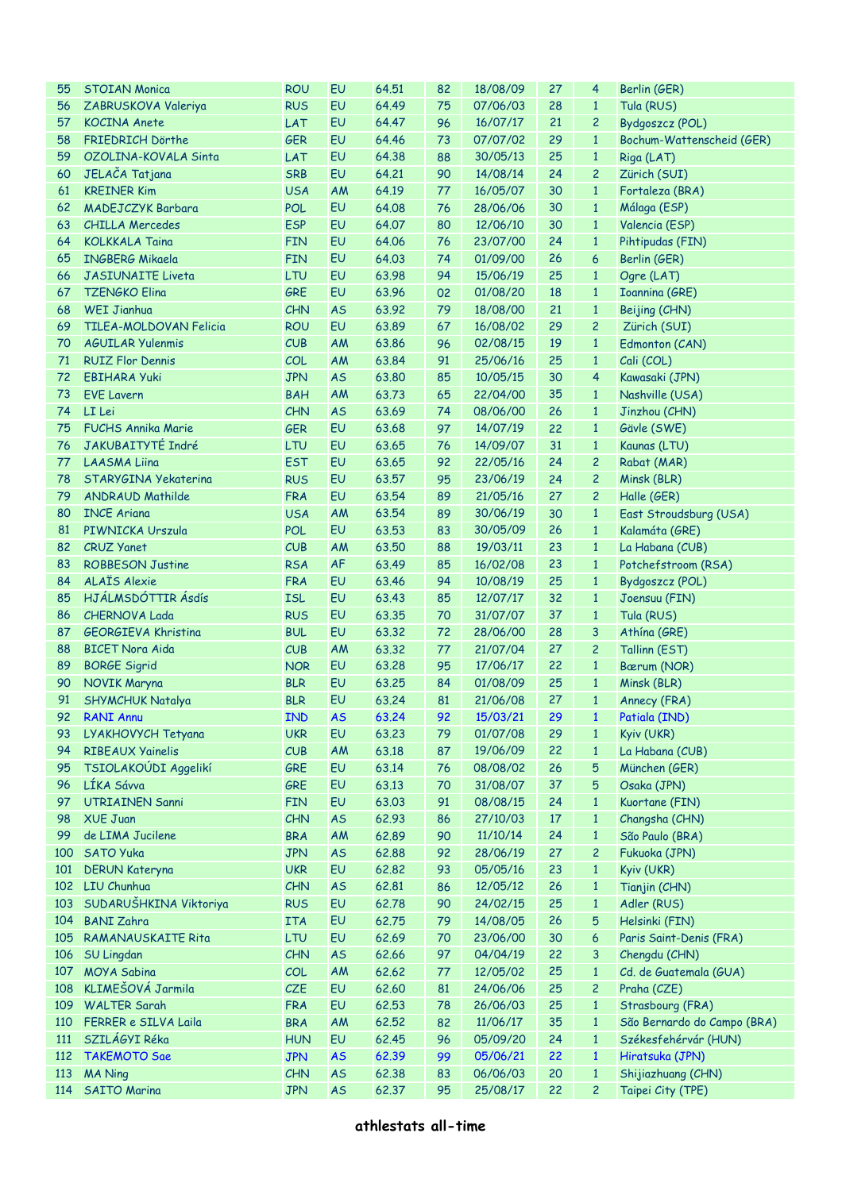| 55  | <b>STOIAN Monica</b>          | <b>ROU</b> | EU        | 64.51 | 82 | 18/08/09 | 27              | 4              | Berlin (GER)                |
|-----|-------------------------------|------------|-----------|-------|----|----------|-----------------|----------------|-----------------------------|
| 56  | ZABRUSKOVA Valeriya           | <b>RUS</b> | EU        | 64.49 | 75 | 07/06/03 | 28              | $\mathbf{1}$   | Tula (RUS)                  |
|     | <b>KOCINA Anete</b>           |            | <b>EU</b> | 64.47 |    |          | 21              |                |                             |
| 57  |                               | LAT        |           |       | 96 | 16/07/17 |                 | $\overline{c}$ | Bydgoszcz (POL)             |
| 58  | <b>FRIEDRICH Dörthe</b>       | <b>GER</b> | <b>EU</b> | 64.46 | 73 | 07/07/02 | 29              | $\mathbf{1}$   | Bochum-Wattenscheid (GER)   |
| 59  | OZOLINA-KOVALA Sinta          | LAT        | EU        | 64.38 | 88 | 30/05/13 | 25              | $\mathbf{1}$   | Riga (LAT)                  |
| 60  | JELAČA Tatjana                | <b>SRB</b> | EU        | 64.21 | 90 | 14/08/14 | 24              | $\overline{c}$ | Zürich (SUI)                |
| 61  | <b>KREINER Kim</b>            | <b>USA</b> | <b>AM</b> | 64.19 | 77 | 16/05/07 | 30              | $\mathbf{1}$   | Fortaleza (BRA)             |
| 62  | <b>MADEJCZYK Barbara</b>      | <b>POL</b> | EU        | 64.08 | 76 | 28/06/06 | 30              | $\mathbf{1}$   | Málaga (ESP)                |
| 63  | <b>CHILLA Mercedes</b>        | <b>ESP</b> | EU        | 64.07 | 80 | 12/06/10 | 30              | $\mathbf{1}$   | Valencia (ESP)              |
| 64  | <b>KOLKKALA Taina</b>         | <b>FIN</b> | EU        | 64.06 | 76 | 23/07/00 | 24              | $\mathbf{1}$   | Pihtipudas (FIN)            |
|     | <b>INGBERG Mikaela</b>        |            | EU        | 64.03 | 74 |          | 26              | 6              |                             |
| 65  |                               | <b>FIN</b> |           |       |    | 01/09/00 |                 |                | Berlin (GER)                |
| 66  | <b>JASIUNAITE Liveta</b>      | LTU        | EU        | 63.98 | 94 | 15/06/19 | 25              | $\mathbf{1}$   | Ogre (LAT)                  |
| 67  | <b>TZENGKO Elina</b>          | GRE        | EU        | 63.96 | 02 | 01/08/20 | 18              | $\mathbf{1}$   | <b>Ioannina (GRE)</b>       |
| 68  | <b>WEI Jianhua</b>            | CHN        | <b>AS</b> | 63.92 | 79 | 18/08/00 | 21              | $\mathbf{1}$   | Beijing (CHN)               |
| 69  | <b>TILEA-MOLDOVAN Felicia</b> | <b>ROU</b> | EU        | 63.89 | 67 | 16/08/02 | 29              | $\overline{c}$ | Zürich (SUI)                |
| 70  | <b>AGUILAR Yulenmis</b>       | CUB        | <b>AM</b> | 63.86 | 96 | 02/08/15 | 19              | $\mathbf{1}$   | Edmonton (CAN)              |
| 71  | <b>RUIZ Flor Dennis</b>       | COL        | <b>AM</b> | 63.84 | 91 | 25/06/16 | 25              | $\mathbf{1}$   | Cali (COL)                  |
| 72  | <b>EBIHARA Yuki</b>           | <b>JPN</b> | <b>AS</b> | 63.80 | 85 | 10/05/15 | 30              | 4              | Kawasaki (JPN)              |
| 73  | <b>EVE Lavern</b>             | <b>BAH</b> | <b>AM</b> | 63.73 | 65 | 22/04/00 | 35              | $\mathbf{1}$   | Nashville (USA)             |
| 74  | LI Lei                        | CHN        | <b>AS</b> | 63.69 | 74 | 08/06/00 | 26              | $\mathbf{1}$   | Jinzhou (CHN)               |
| 75  | <b>FUCHS Annika Marie</b>     |            | EU        |       | 97 |          | 22              | $\mathbf{1}$   |                             |
|     |                               | <b>GER</b> |           | 63.68 |    | 14/07/19 |                 |                | Gävle (SWE)                 |
| 76  | <b>JAKUBAITYTÉ Indré</b>      | LTU        | EU        | 63.65 | 76 | 14/09/07 | 31              | $\mathbf{1}$   | Kaunas (LTU)                |
| 77  | <b>LAASMA Liina</b>           | <b>EST</b> | EU        | 63.65 | 92 | 22/05/16 | 24              | $\overline{c}$ | Rabat (MAR)                 |
| 78  | STARYGINA Yekaterina          | <b>RUS</b> | EU        | 63.57 | 95 | 23/06/19 | 24              | $\overline{c}$ | Minsk (BLR)                 |
| 79  | <b>ANDRAUD Mathilde</b>       | <b>FRA</b> | EU        | 63.54 | 89 | 21/05/16 | 27              | $\overline{c}$ | Halle (GER)                 |
| 80  | <b>INCE Ariana</b>            | <b>USA</b> | AM        | 63.54 | 89 | 30/06/19 | 30              | $\mathbf{1}$   | East Stroudsburg (USA)      |
| 81  | PIWNICKA Urszula              | <b>POL</b> | EU        | 63.53 | 83 | 30/05/09 | 26              | $\mathbf{1}$   | Kalamáta (GRE)              |
| 82  | <b>CRUZ Yanet</b>             | CUB        | <b>AM</b> | 63.50 | 88 | 19/03/11 | 23              | $\mathbf{1}$   | La Habana (CUB)             |
| 83  | <b>ROBBESON Justine</b>       | <b>RSA</b> | <b>AF</b> | 63.49 | 85 | 16/02/08 | 23              | $\mathbf{1}$   | Potchefstroom (RSA)         |
| 84  | <b>ALAÏS Alexie</b>           | <b>FRA</b> | EU        | 63.46 | 94 | 10/08/19 | 25              | $\mathbf{1}$   | Bydgoszcz (POL)             |
| 85  | HJÁLMSDÓTTIR Ásdís            | <b>ISL</b> | EU        | 63.43 | 85 | 12/07/17 | 32              | $\mathbf{1}$   | Joensuu (FIN)               |
|     |                               |            |           |       |    |          |                 |                |                             |
| 86  | <b>CHERNOVA Lada</b>          | <b>RUS</b> | EU        | 63.35 | 70 | 31/07/07 | 37              | $\mathbf{1}$   | Tula (RUS)                  |
| 87  | <b>GEORGIEVA Khristina</b>    | <b>BUL</b> | EU        | 63.32 | 72 | 28/06/00 | 28              | 3              | Athína (GRE)                |
| 88  | <b>BICET Nora Aida</b>        | CUB        | AM        | 63.32 | 77 | 21/07/04 | 27              | $\overline{c}$ | Tallinn (EST)               |
| 89  | <b>BORGE Sigrid</b>           | <b>NOR</b> | EU        | 63.28 | 95 | 17/06/17 | 22              | $\mathbf{1}$   | Bærum (NOR)                 |
| 90  | NOVIK Maryna                  | <b>BLR</b> | EU        | 63.25 | 84 | 01/08/09 | 25              | $\mathbf{1}$   | Minsk (BLR)                 |
| 91  | <b>SHYMCHUK Natalya</b>       | <b>BLR</b> | EU        | 63.24 | 81 | 21/06/08 | 27              | $\mathbf{1}$   | Annecy (FRA)                |
|     | 92 RANI Annu                  | <b>IND</b> | $-$ AS    | 63.24 | 92 | 15/03/21 | 29 <sup>°</sup> | $\sim$ 1       | Patiala (IND)               |
| 93  | LYAKHOVYCH Tetyana            | <b>UKR</b> | EU        | 63.23 | 79 | 01/07/08 | 29              | $\mathbf{1}$   | Kyiv (UKR)                  |
| 94  | <b>RIBEAUX Yainelis</b>       | CUB        | AM        | 63.18 | 87 | 19/06/09 | 22              | $\mathbf{1}$   | La Habana (CUB)             |
| 95  | TSIOLAKOÚDI Aggelikí          | GRE        | EU        | 63.14 | 76 | 08/08/02 | 26              | 5              | München (GER)               |
|     |                               |            |           |       |    |          |                 |                |                             |
| 96  | LÍKA Sávva                    | GRE        | EU        | 63.13 | 70 | 31/08/07 | 37              | 5              | Osaka (JPN)                 |
| 97  | <b>UTRIAINEN Sanni</b>        | <b>FIN</b> | EU        | 63.03 | 91 | 08/08/15 | 24              | $\mathbf{1}$   | Kuortane (FIN)              |
| 98  | <b>XUE Juan</b>               | CHN        | <b>AS</b> | 62.93 | 86 | 27/10/03 | 17              | $\mathbf{1}$   | Changsha (CHN)              |
| 99  | de LIMA Jucilene              | <b>BRA</b> | AM        | 62.89 | 90 | 11/10/14 | 24              | $\mathbf{1}$   | São Paulo (BRA)             |
| 100 | SATO Yuka                     | <b>JPN</b> | <b>AS</b> | 62.88 | 92 | 28/06/19 | 27              | $\overline{c}$ | Fukuoka (JPN)               |
| 101 | <b>DERUN Kateryna</b>         | <b>UKR</b> | EU        | 62.82 | 93 | 05/05/16 | 23              | $\mathbf{1}$   | Kyiv (UKR)                  |
|     | 102 LIU Chunhua               | CHN        | <b>AS</b> | 62.81 | 86 | 12/05/12 | 26              | $\mathbf{1}$   | Tianjin (CHN)               |
| 103 | SUDARUŠHKINA Viktoriya        | <b>RUS</b> | EU        | 62.78 | 90 | 24/02/15 | 25              | $\mathbf{1}$   | Adler (RUS)                 |
| 104 | <b>BANI Zahra</b>             | <b>ITA</b> | EU        | 62.75 | 79 | 14/08/05 | 26              | 5              | Helsinki (FIN)              |
| 105 | <b>RAMANAUSKAITE Rita</b>     | LTU        | EU        | 62.69 | 70 | 23/06/00 | 30              | 6              | Paris Saint-Denis (FRA)     |
| 106 |                               |            |           |       |    |          |                 |                |                             |
|     | <b>SU Lingdan</b>             | CHN        | <b>AS</b> | 62.66 | 97 | 04/04/19 | 22              | 3              | Chengdu (CHN)               |
| 107 | <b>MOYA Sabina</b>            | COL        | AM        | 62.62 | 77 | 12/05/02 | 25              | $\mathbf{1}$   | Cd. de Guatemala (GUA)      |
| 108 | KLIMEŠOVÁ Jarmila             | CZE        | EU        | 62.60 | 81 | 24/06/06 | 25              | $\overline{c}$ | Praha (CZE)                 |
| 109 | <b>WALTER Sarah</b>           | <b>FRA</b> | EU        | 62.53 | 78 | 26/06/03 | 25              | $\mathbf{1}$   | Strasbourg (FRA)            |
| 110 | FERRER e SILVA Laila          | <b>BRA</b> | AM        | 62.52 | 82 | 11/06/17 | 35              | $\mathbf{1}$   | São Bernardo do Campo (BRA) |
| 111 | SZILÁGYI Réka                 | <b>HUN</b> | EU        | 62.45 | 96 | 05/09/20 | 24              | $\mathbf{1}$   | Székesfehérvár (HUN)        |
| 112 | <b>TAKEMOTO Sae</b>           | <b>JPN</b> | <b>AS</b> | 62.39 | 99 | 05/06/21 | 22              | $\mathbf{1}$   | Hiratsuka (JPN)             |
| 113 | <b>MA Ning</b>                | CHN        | <b>AS</b> | 62.38 | 83 | 06/06/03 | 20              | $\mathbf{1}$   | Shijiazhuang (CHN)          |
| 114 | <b>SAITO Marina</b>           | <b>JPN</b> | <b>AS</b> | 62.37 | 95 | 25/08/17 | 22              | $\overline{c}$ | Taipei City (TPE)           |
|     |                               |            |           |       |    |          |                 |                |                             |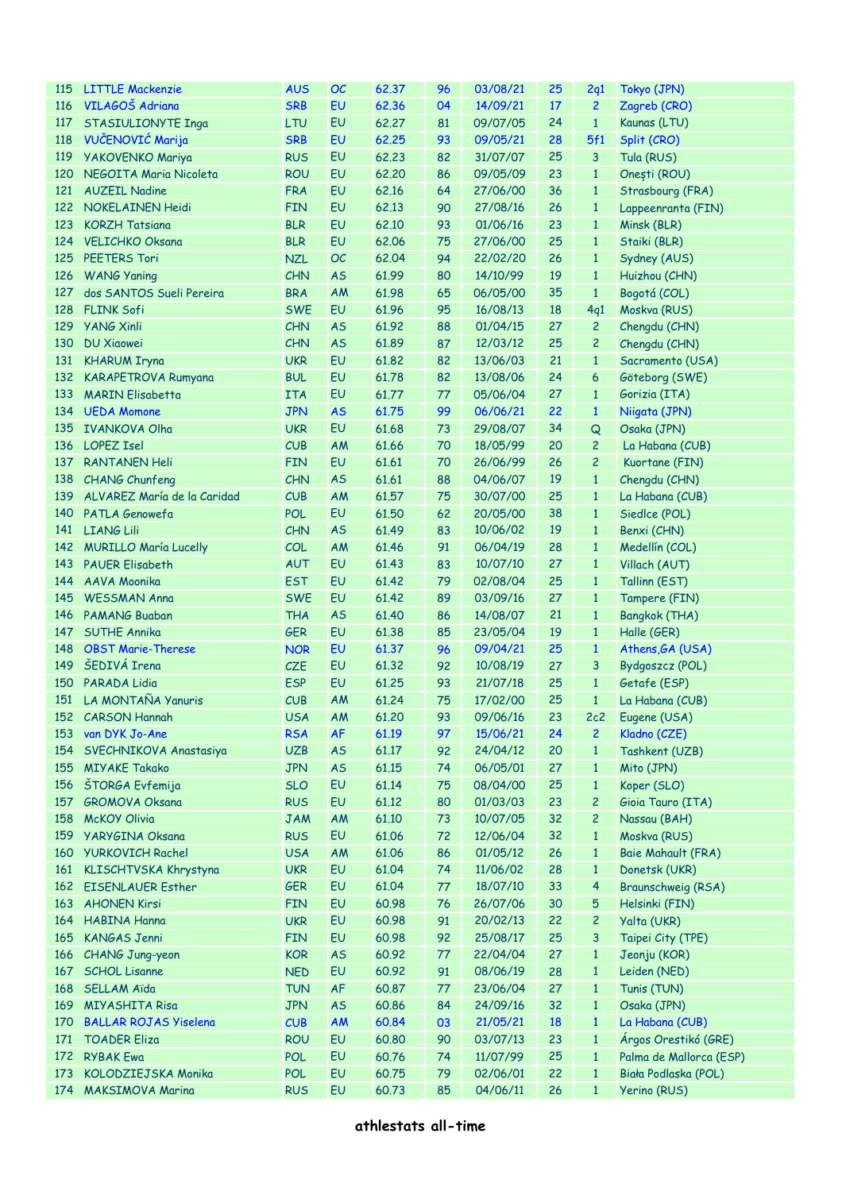| <b>115</b> | <b>LITTLE Mackenzie</b>      | <b>AUS</b> | OC        | 62.37 | 96 | 03/08/21 | 25 | 2q1            | Tokyo (JPN)             |
|------------|------------------------------|------------|-----------|-------|----|----------|----|----------------|-------------------------|
| 116        | VILAGOŠ Adriana              | <b>SRB</b> | EU        | 62.36 | 04 | 14/09/21 | 17 | $\overline{2}$ | Zagreb (CRO)            |
| 117        | STASIULIONYTE Inga           | LTU        | EU        | 62,27 | 81 | 09/07/05 | 24 | $\mathbf{1}$   | Kaunas (LTU)            |
| 118        | VUČENOVIĆ Marija             | <b>SRB</b> | EU        | 62.25 | 93 | 09/05/21 | 28 | 5f1            | Split (CRO)             |
| 119        | <b>YAKOVENKO Mariya</b>      | <b>RUS</b> | EU        | 62.23 | 82 | 31/07/07 | 25 | 3              | Tula (RUS)              |
| 120        | NEGOITA Maria Nicoleta       | <b>ROU</b> | EU        | 62,20 | 86 | 09/05/09 | 23 | $\mathbf{1}$   | Onești (ROU)            |
| 121        | <b>AUZEIL Nadine</b>         | <b>FRA</b> | EU        | 62.16 | 64 | 27/06/00 | 36 | $\mathbf{1}$   | Strasbourg (FRA)        |
| 122        | <b>NOKELAINEN Heidi</b>      | <b>FIN</b> | EU        | 62.13 | 90 | 27/08/16 | 26 | $\mathbf{1}$   | Lappeenranta (FIN)      |
| 123        | <b>KORZH Tatsiana</b>        | <b>BLR</b> | EU        | 62.10 | 93 | 01/06/16 | 23 | $\mathbf{1}$   | Minsk (BLR)             |
| 124        | <b>VELICHKO Oksana</b>       | <b>BLR</b> | EU        | 62.06 | 75 | 27/06/00 | 25 | $\mathbf{1}$   | Staiki (BLR)            |
| 125        | <b>PEETERS Tori</b>          | <b>NZL</b> | OC        | 62.04 | 94 | 22/02/20 | 26 | $\mathbf{1}$   | Sydney (AUS)            |
| 126        | <b>WANG Yaning</b>           | <b>CHN</b> | <b>AS</b> | 61.99 | 80 | 14/10/99 | 19 | $\mathbf{1}$   | Huizhou (CHN)           |
| 127        | dos SANTOS Sueli Pereira     | <b>BRA</b> | <b>AM</b> | 61.98 | 65 | 06/05/00 | 35 | $\mathbf{1}$   | Bogotá (COL)            |
| 128        | <b>FLINK Sofi</b>            | <b>SWE</b> | EU        | 61.96 | 95 | 16/08/13 | 18 | 4q1            | Moskva (RUS)            |
| 129        | <b>YANG Xinli</b>            | <b>CHN</b> | <b>AS</b> | 61.92 | 88 | 01/04/15 | 27 | $\overline{c}$ | Chengdu (CHN)           |
| 130        | <b>DU Xiaowei</b>            | <b>CHN</b> | <b>AS</b> | 61.89 | 87 | 12/03/12 | 25 | 2              | Chengdu (CHN)           |
| 131        | <b>KHARUM Iryna</b>          | <b>UKR</b> | EU        | 61.82 | 82 | 13/06/03 | 21 | $\mathbf{1}$   | Sacramento (USA)        |
| 132        | <b>KARAPETROVA Rumyana</b>   | <b>BUL</b> | EU        | 61.78 | 82 | 13/08/06 | 24 | 6              | Göteborg (SWE)          |
|            | <b>MARIN Elisabetta</b>      |            |           |       |    |          |    |                |                         |
| 133        |                              | <b>ITA</b> | EU        | 61.77 | 77 | 05/06/04 | 27 | $\mathbf{1}$   | Gorizia (ITA)           |
|            | 134 UEDA Momone              | <b>JPN</b> | <b>AS</b> | 61.75 | 99 | 06/06/21 | 22 | $\mathbf{1}$   | Niigata (JPN)           |
| 135        | <b>IVANKOVA Olha</b>         | <b>UKR</b> | EU        | 61.68 | 73 | 29/08/07 | 34 | Q              | Osaka (JPN)             |
| 136        | <b>LOPEZ Isel</b>            | CUB        | AM        | 61.66 | 70 | 18/05/99 | 20 | $\overline{c}$ | La Habana (CUB)         |
| 137        | <b>RANTANEN Heli</b>         | <b>FIN</b> | EU        | 61.61 | 70 | 26/06/99 | 26 | $\overline{c}$ | Kuortane (FIN)          |
|            | 138 CHANG Chunfeng           | CHN        | <b>AS</b> | 61.61 | 88 | 04/06/07 | 19 | $\mathbf{1}$   | Chengdu (CHN)           |
| 139        | ALVAREZ María de la Caridad  | CUB        | AM        | 61.57 | 75 | 30/07/00 | 25 | $\mathbf{1}$   | La Habana (CUB)         |
| 140        | PATLA Genowefa               | <b>POL</b> | EU        | 61.50 | 62 | 20/05/00 | 38 | $\mathbf{1}$   | Siedlce (POL)           |
| 141        | <b>LIANG Lili</b>            | CHN        | <b>AS</b> | 61.49 | 83 | 10/06/02 | 19 | $\mathbf{1}$   | Benxi (CHN)             |
|            | 142 MURILLO María Lucelly    | COL        | AM        | 61.46 | 91 | 06/04/19 | 28 | $\mathbf{1}$   | Medellín (COL)          |
| 143        | <b>PAUER Elisabeth</b>       | <b>AUT</b> | EU        | 61.43 | 83 | 10/07/10 | 27 | $\mathbf{1}$   | Villach (AUT)           |
| 144        | AAVA Moonika                 | <b>EST</b> | EU        | 61.42 | 79 | 02/08/04 | 25 | $\mathbf{1}$   | Tallinn (EST)           |
| 145        | <b>WESSMAN Anna</b>          | <b>SWE</b> | EU        | 61.42 | 89 | 03/09/16 | 27 | $\mathbf{1}$   | Tampere (FIN)           |
| 146        | <b>PAMANG Buaban</b>         | <b>THA</b> | <b>AS</b> | 61.40 | 86 | 14/08/07 | 21 | $\mathbf{1}$   | Bangkok (THA)           |
| 147        | <b>SUTHE Annika</b>          | <b>GER</b> | EU        | 61.38 | 85 | 23/05/04 | 19 | $\mathbf{1}$   | Halle (GER)             |
| 148        | <b>OBST Marie-Therese</b>    | <b>NOR</b> | EU        | 61.37 | 96 | 09/04/21 | 25 | $\mathbf{1}$   | Athens, GA (USA)        |
| 149        | ŠEDIVÁ Irena                 | CZE        | EU        | 61.32 | 92 | 10/08/19 | 27 | 3              | Bydgoszcz (POL)         |
| 150        | <b>PARADA Lidia</b>          | <b>ESP</b> | EU        | 61.25 | 93 | 21/07/18 | 25 | $\mathbf{1}$   | Getafe (ESP)            |
|            | 151 LA MONTAÑA Yanuris       | CUB        | AM        | 61.24 | 75 | 17/02/00 | 25 | $\mathbf{1}$   | La Habana (CUB)         |
|            | 152 CARSON Hannah            | <b>USA</b> | AM        | 61.20 | 93 | 09/06/16 | 23 | 2c2            | Eugene (USA)            |
|            | 153 van DYK Jo-Ane           | <b>RSA</b> | <b>AF</b> | 61.19 | 97 | 15/06/21 | 24 | $\overline{c}$ | Kladno (CZE)            |
| 154        | SVECHNIKOVA Anastasiya       | <b>UZB</b> | <b>AS</b> | 61.17 | 92 | 24/04/12 | 20 | $\mathbf{1}$   | Tashkent (UZB)          |
| 155        | <b>MIYAKE Takako</b>         | <b>JPN</b> | <b>AS</b> | 61.15 | 74 | 06/05/01 | 27 | $\mathbf{1}$   | Mito (JPN)              |
| 156        | ŠTORGA Evfemija              | <b>SLO</b> | EU        | 61.14 | 75 | 08/04/00 | 25 | $\mathbf{1}$   | Koper (SLO)             |
| 157        | <b>GROMOVA Oksana</b>        | <b>RUS</b> | EU        | 61.12 | 80 | 01/03/03 | 23 | $\overline{c}$ | Gioia Tauro (ITA)       |
| 158        | <b>McKOY Olivia</b>          | <b>JAM</b> | AM        | 61.10 | 73 | 10/07/05 | 32 | $\overline{c}$ | Nassau (BAH)            |
| 159        | YARYGINA Oksana              | <b>RUS</b> | EU        | 61.06 | 72 | 12/06/04 | 32 | $\mathbf{1}$   | Moskva (RUS)            |
| 160        | <b>YURKOVICH Rachel</b>      | <b>USA</b> | AM        | 61.06 | 86 | 01/05/12 | 26 | $\mathbf{1}$   | Baie Mahault (FRA)      |
| 161        | KLISCHTVSKA Khrystyna        | <b>UKR</b> | EU        | 61.04 | 74 | 11/06/02 | 28 | $\mathbf{1}$   | Donetsk (UKR)           |
|            | 162 EISENLAUER Esther        | <b>GER</b> | EU        | 61.04 | 77 | 18/07/10 | 33 | 4              | Braunschweig (RSA)      |
| 163        | <b>AHONEN Kirsi</b>          | <b>FIN</b> | EU        | 60.98 | 76 | 26/07/06 | 30 | 5              | Helsinki (FIN)          |
|            | 164 HABINA Hanna             | <b>UKR</b> | EU        | 60.98 | 91 | 20/02/13 | 22 | $\overline{c}$ | Yalta (UKR)             |
| 165        | <b>KANGAS Jenni</b>          | <b>FIN</b> | EU        | 60.98 | 92 | 25/08/17 | 25 | 3              | Taipei City (TPE)       |
|            | 166 CHANG Jung-yeon          | <b>KOR</b> | <b>AS</b> | 60.92 | 77 | 22/04/04 | 27 | $\mathbf{1}$   | Jeonju (KOR)            |
| 167        | <b>SCHOL Lisanne</b>         | <b>NED</b> | EU        | 60.92 | 91 | 08/06/19 | 28 | $\mathbf{1}$   | Leiden (NED)            |
| 168        | <b>SELLAM Aïda</b>           | <b>TUN</b> | <b>AF</b> | 60.87 | 77 | 23/06/04 | 27 | $\mathbf{1}$   | Tunis (TUN)             |
| 169        | <b>MIYASHITA Risa</b>        | <b>JPN</b> | <b>AS</b> | 60.86 | 84 | 24/09/16 | 32 | $\mathbf{1}$   | Osaka (JPN)             |
| 170        | <b>BALLAR ROJAS Yiselena</b> | CUB        | <b>AM</b> | 60.84 | 03 | 21/05/21 | 18 | $\mathbf{1}$   | La Habana (CUB)         |
| 171        | <b>TOADER Eliza</b>          | <b>ROU</b> | EU        | 60.80 | 90 | 03/07/13 | 23 | $\mathbf{1}$   | Árgos Orestikó (GRE)    |
| 172        | <b>RYBAK Ewa</b>             | <b>POL</b> | EU        | 60.76 | 74 | 11/07/99 | 25 | $\mathbf{1}$   | Palma de Mallorca (ESP) |
| 173        | KOLODZIEJSKA Monika          | <b>POL</b> | EU        | 60.75 | 79 | 02/06/01 | 22 | $\mathbf{1}$   | Biała Podlaska (POL)    |
|            | 174 MAKSIMOVA Marina         | <b>RUS</b> | EU        | 60.73 | 85 | 04/06/11 | 26 | $\mathbf{1}$   | Yerino (RUS)            |
|            |                              |            |           |       |    |          |    |                |                         |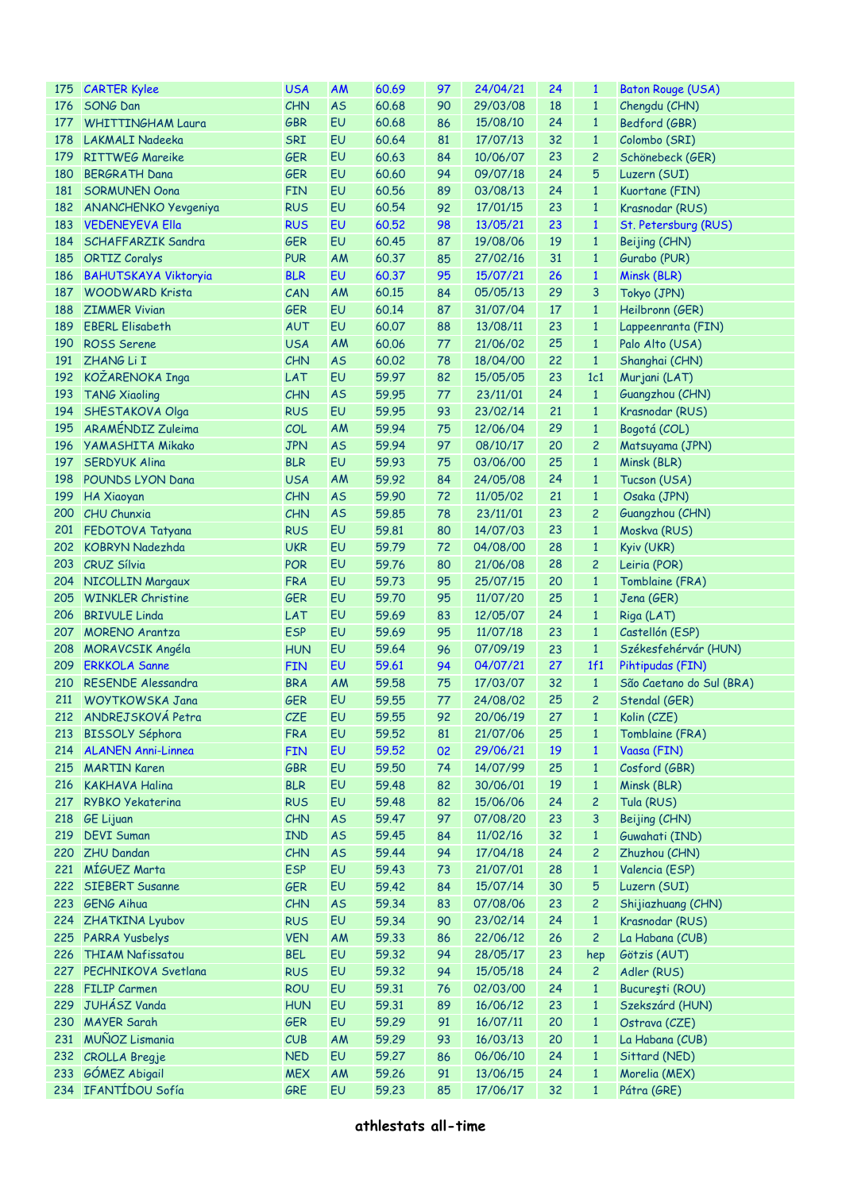|     | 175 CARTER Kylee            | <b>USA</b> | <b>AM</b> | 60.69 | 97 | 24/04/21 | 24 | $\mathbf{1}$   | <b>Baton Rouge (USA)</b> |
|-----|-----------------------------|------------|-----------|-------|----|----------|----|----------------|--------------------------|
| 176 | SONG Dan                    | CHN        | <b>AS</b> | 60.68 | 90 | 29/03/08 | 18 | $\mathbf{1}$   | Chengdu (CHN)            |
| 177 | <b>WHITTINGHAM Laura</b>    | <b>GBR</b> | EU        | 60.68 | 86 | 15/08/10 | 24 | $\mathbf{1}$   | Bedford (GBR)            |
| 178 | <b>LAKMALI Nadeeka</b>      | SRI        | EU        | 60.64 | 81 | 17/07/13 | 32 | $\mathbf{1}$   | Colombo (SRI)            |
| 179 | <b>RITTWEG Mareike</b>      | <b>GER</b> | EU        | 60.63 | 84 | 10/06/07 | 23 | $\overline{c}$ | Schönebeck (GER)         |
| 180 | <b>BERGRATH Dana</b>        | <b>GER</b> | EU        | 60.60 | 94 | 09/07/18 | 24 | 5              | Luzern (SUI)             |
| 181 | <b>SORMUNEN Oona</b>        | <b>FIN</b> | EU        | 60.56 | 89 | 03/08/13 | 24 | $\mathbf{1}$   | Kuortane (FIN)           |
|     | 182 ANANCHENKO Yevgeniya    | <b>RUS</b> | EU        | 60.54 | 92 | 17/01/15 | 23 | $\mathbf{1}$   | Krasnodar (RUS)          |
| 183 | <b>VEDENEYEVA Ella</b>      | <b>RUS</b> | EU        | 60,52 | 98 | 13/05/21 | 23 | $\mathbf{1}$   | St. Petersburg (RUS)     |
| 184 |                             |            | EU        |       | 87 | 19/08/06 | 19 |                |                          |
|     | SCHAFFARZIK Sandra          | <b>GER</b> |           | 60.45 |    |          |    | $\mathbf{1}$   | Beijing (CHN)            |
| 185 | <b>ORTIZ Coralys</b>        | <b>PUR</b> | AM        | 60.37 | 85 | 27/02/16 | 31 | $\mathbf{1}$   | Gurabo (PUR)             |
| 186 | <b>BAHUTSKAYA Viktoryia</b> | <b>BLR</b> | EU        | 60.37 | 95 | 15/07/21 | 26 | $\mathbf{1}$   | Minsk (BLR)              |
| 187 | <b>WOODWARD Krista</b>      | CAN        | AM        | 60.15 | 84 | 05/05/13 | 29 | 3              | Tokyo (JPN)              |
| 188 | <b>ZIMMER Vivian</b>        | <b>GER</b> | EU        | 60.14 | 87 | 31/07/04 | 17 | $\mathbf{1}$   | Heilbronn (GER)          |
| 189 | <b>EBERL Elisabeth</b>      | <b>AUT</b> | EU        | 60.07 | 88 | 13/08/11 | 23 | $\mathbf{1}$   | Lappeenranta (FIN)       |
| 190 | <b>ROSS Serene</b>          | <b>USA</b> | AM        | 60.06 | 77 | 21/06/02 | 25 | $\mathbf{1}$   | Palo Alto (USA)          |
| 191 | <b>ZHANG Li I</b>           | CHN        | <b>AS</b> | 60.02 | 78 | 18/04/00 | 22 | $\mathbf{1}$   | Shanghai (CHN)           |
| 192 | KOŽARENOKA Inga             | LAT        | EU        | 59.97 | 82 | 15/05/05 | 23 | 1c1            | Murjani (LAT)            |
| 193 | <b>TANG Xiaoling</b>        | CHN        | <b>AS</b> | 59.95 | 77 | 23/11/01 | 24 | $\mathbf{1}$   | Guangzhou (CHN)          |
| 194 | SHESTAKOVA Olga             | <b>RUS</b> | EU        | 59.95 | 93 | 23/02/14 | 21 | $\mathbf{1}$   | Krasnodar (RUS)          |
| 195 | <b>ARAMÉNDIZ Zuleima</b>    | COL        | AM        | 59.94 | 75 | 12/06/04 | 29 | $\mathbf{1}$   | Bogotá (COL)             |
| 196 | YAMASHITA Mikako            | <b>JPN</b> | <b>AS</b> | 59.94 | 97 | 08/10/17 | 20 | $\overline{c}$ | Matsuyama (JPN)          |
| 197 | <b>SERDYUK Alina</b>        | <b>BLR</b> | EU        | 59.93 | 75 | 03/06/00 | 25 | $\mathbf{1}$   | Minsk (BLR)              |
| 198 | POUNDS LYON Dana            | <b>USA</b> | AM        | 59.92 | 84 | 24/05/08 | 24 | $\mathbf{1}$   | Tucson (USA)             |
| 199 | HA Xiaoyan                  | CHN        | <b>AS</b> | 59.90 | 72 | 11/05/02 | 21 | $\mathbf{1}$   | Osaka (JPN)              |
| 200 | <b>CHU Chunxia</b>          | CHN        | <b>AS</b> | 59.85 | 78 | 23/11/01 | 23 | 2              |                          |
|     |                             |            |           |       |    |          |    |                | Guangzhou (CHN)          |
|     | 201 FEDOTOVA Tatyana        | <b>RUS</b> | EU        | 59.81 | 80 | 14/07/03 | 23 | $\mathbf{1}$   | Moskva (RUS)             |
| 202 | <b>KOBRYN Nadezhda</b>      | <b>UKR</b> | EU        | 59.79 | 72 | 04/08/00 | 28 | $\mathbf{1}$   | Kyiv (UKR)               |
|     | 203 CRUZ Sílvia             | <b>POR</b> | EU        | 59.76 | 80 | 21/06/08 | 28 | 2              | Leiria (POR)             |
|     | 204 NICOLLIN Margaux        | <b>FRA</b> | EU        | 59.73 | 95 | 25/07/15 | 20 | $\mathbf{1}$   | Tomblaine (FRA)          |
| 205 | <b>WINKLER Christine</b>    | <b>GER</b> | EU        | 59.70 | 95 | 11/07/20 | 25 | $\mathbf{1}$   | Jena (GER)               |
| 206 | <b>BRIVULE Linda</b>        | LAT        | EU        | 59.69 | 83 | 12/05/07 | 24 | $\mathbf{1}$   | Riga (LAT)               |
|     | 207 MORENO Arantza          | <b>ESP</b> | EU        | 59.69 | 95 | 11/07/18 | 23 | $\mathbf{1}$   | Castellón (ESP)          |
| 208 | <b>MORAVCSIK Angéla</b>     | <b>HUN</b> | EU        | 59.64 | 96 | 07/09/19 | 23 | $\mathbf{1}$   | Székesfehérvár (HUN)     |
| 209 | <b>ERKKOLA Sanne</b>        | <b>FIN</b> | EU        | 59.61 | 94 | 04/07/21 | 27 | 1f1            | Pihtipudas (FIN)         |
| 210 | <b>RESENDE Alessandra</b>   | <b>BRA</b> | AM        | 59.58 | 75 | 17/03/07 | 32 | $\mathbf{1}$   | São Caetano do Sul (BRA) |
|     | 211 WOYTKOWSKA Jana         | <b>GER</b> | EU        | 59.55 | 77 | 24/08/02 | 25 | $\overline{c}$ | Stendal (GER)            |
|     | 212 ANDREJSKOVÁ Petra       | CZE        | EU        | 59.55 | 92 | 20/06/19 | 27 | $1 -$          | Kolin (CZE)              |
|     | 213 BISSOLY Séphora         | <b>FRA</b> | EU        | 59.52 | 81 | 21/07/06 | 25 | $\mathbf{1}$   | Tomblaine (FRA)          |
|     | 214 ALANEN Anni-Linnea      | <b>FIN</b> | EU        | 59.52 | 02 | 29/06/21 | 19 | $\mathbf{1}$   | Vaasa (FIN)              |
| 215 | <b>MARTIN Karen</b>         | <b>GBR</b> | EU        | 59.50 | 74 | 14/07/99 | 25 | $\mathbf{1}$   | Cosford (GBR)            |
| 216 | <b>KAKHAVA Halina</b>       | <b>BLR</b> | EU        | 59.48 | 82 | 30/06/01 | 19 | $\mathbf{1}$   | Minsk (BLR)              |
| 217 | <b>RYBKO Yekaterina</b>     | <b>RUS</b> | EU        | 59.48 | 82 | 15/06/06 | 24 | 2              | Tula (RUS)               |
| 218 | GE Lijuan                   | CHN        | <b>AS</b> | 59.47 | 97 | 07/08/20 | 23 | 3              | Beijing (CHN)            |
| 219 | <b>DEVI Suman</b>           | <b>IND</b> | <b>AS</b> | 59.45 | 84 | 11/02/16 | 32 | $\mathbf{1}$   | Guwahati (IND)           |
| 220 | <b>ZHU Dandan</b>           | CHN        | <b>AS</b> | 59.44 | 94 | 17/04/18 | 24 |                | Zhuzhou (CHN)            |
|     |                             |            |           |       |    |          |    | 2              |                          |
|     | 221 MÍGUEZ Marta            | <b>ESP</b> | EU        | 59.43 | 73 | 21/07/01 | 28 | $\mathbf{1}$   | Valencia (ESP)           |
| 222 | SIEBERT Susanne             | <b>GER</b> | EU        | 59.42 | 84 | 15/07/14 | 30 | 5              | Luzern (SUI)             |
| 223 | <b>GENG Aihua</b>           | CHN        | <b>AS</b> | 59.34 | 83 | 07/08/06 | 23 | $\overline{c}$ | Shijiazhuang (CHN)       |
|     | 224 ZHATKINA Lyubov         | <b>RUS</b> | EU        | 59.34 | 90 | 23/02/14 | 24 | $\mathbf{1}$   | Krasnodar (RUS)          |
| 225 | <b>PARRA Yusbelys</b>       | <b>VEN</b> | AM        | 59.33 | 86 | 22/06/12 | 26 | $\mathbf{2}$   | La Habana (CUB)          |
| 226 | <b>THIAM Nafissatou</b>     | <b>BEL</b> | EU        | 59.32 | 94 | 28/05/17 | 23 | hep            | Götzis (AUT)             |
| 227 | PECHNIKOVA Svetlana         | <b>RUS</b> | EU        | 59.32 | 94 | 15/05/18 | 24 | $\mathbf{2}$   | Adler (RUS)              |
| 228 | <b>FILIP Carmen</b>         | <b>ROU</b> | EU        | 59.31 | 76 | 02/03/00 | 24 | $\mathbf{1}$   | București (ROU)          |
| 229 | JUHÁSZ Vanda                | <b>HUN</b> | EU        | 59.31 | 89 | 16/06/12 | 23 | $\mathbf{1}$   | Szekszárd (HUN)          |
| 230 | <b>MAYER Sarah</b>          | <b>GER</b> | EU        | 59.29 | 91 | 16/07/11 | 20 | $\mathbf{1}$   | Ostrava (CZE)            |
| 231 | <b>MUÑOZ Lismania</b>       | CUB        | AM        | 59.29 | 93 | 16/03/13 | 20 | $\mathbf{1}$   | La Habana (CUB)          |
|     | 232 CROLLA Bregje           | <b>NED</b> | EU        | 59.27 | 86 | 06/06/10 | 24 | $\mathbf{1}$   | Sittard (NED)            |
| 233 | <b>GÓMEZ Abigail</b>        | <b>MEX</b> | AM        | 59.26 | 91 | 13/06/15 | 24 | $\mathbf{1}$   | Morelia (MEX)            |
|     | 234 IFANTÍDOU Sofía         | GRE        | EU        | 59.23 | 85 | 17/06/17 | 32 | $\mathbf{1}$   | Pátra (GRE)              |
|     |                             |            |           |       |    |          |    |                |                          |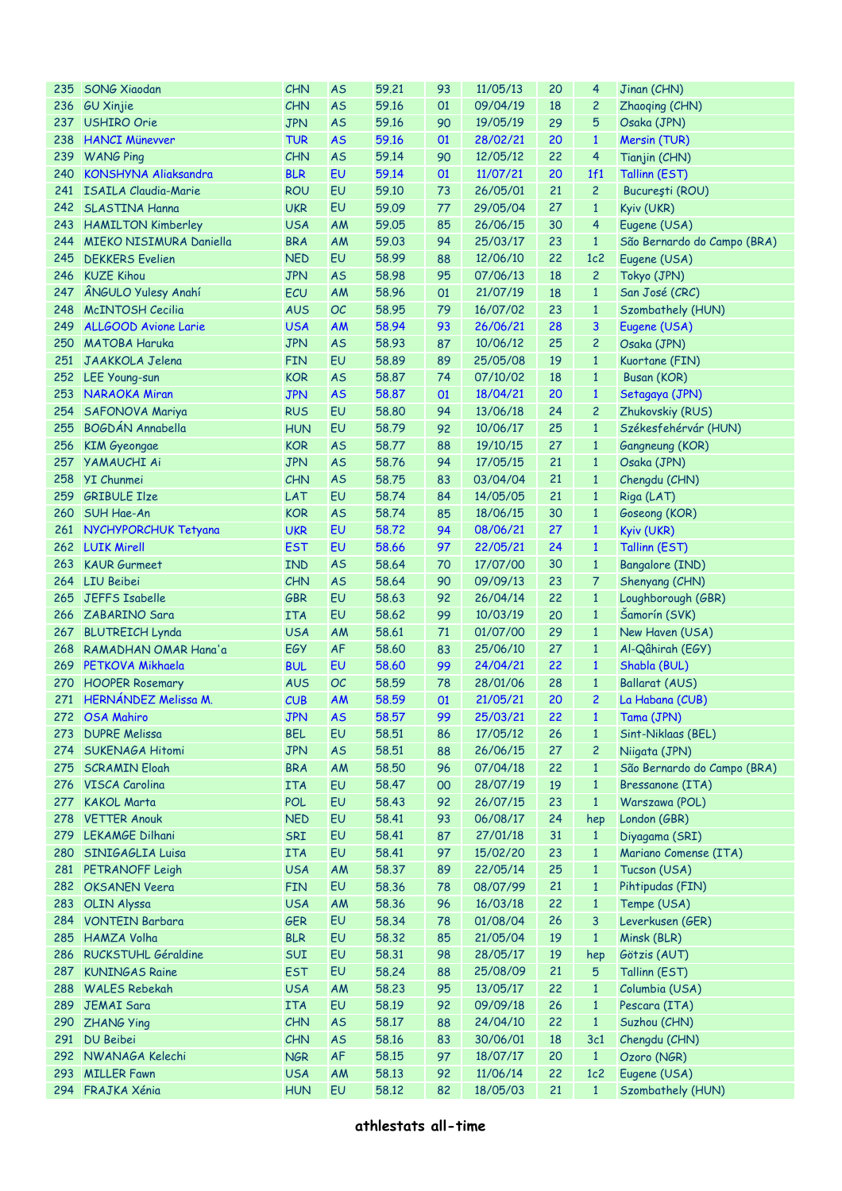| 235 | <b>SONG Xiaodan</b>         | CHN        | <b>AS</b> | 59.21 | 93 | 11/05/13 | 20 | 4              | Jinan (CHN)                 |
|-----|-----------------------------|------------|-----------|-------|----|----------|----|----------------|-----------------------------|
|     | 236 GU Xinjie               | <b>CHN</b> | <b>AS</b> | 59.16 | 01 | 09/04/19 | 18 | 2              | Zhaoqing (CHN)              |
| 237 | <b>USHIRO Orie</b>          | <b>JPN</b> | <b>AS</b> | 59.16 | 90 | 19/05/19 | 29 | 5              | Osaka (JPN)                 |
| 238 | <b>HANCI Münevver</b>       | <b>TUR</b> | <b>AS</b> | 59.16 | 01 | 28/02/21 | 20 | $\mathbf{1}$   | Mersin (TUR)                |
| 239 | <b>WANG Ping</b>            | CHN        | <b>AS</b> | 59.14 | 90 | 12/05/12 | 22 | 4              | Tianjin (CHN)               |
| 240 | <b>KONSHYNA Aliaksandra</b> | <b>BLR</b> | EU        | 59.14 | 01 | 11/07/21 | 20 | 1f1            | Tallinn (EST)               |
|     | 241 ISAILA Claudia-Marie    | <b>ROU</b> | EU        | 59.10 | 73 | 26/05/01 | 21 | $\overline{c}$ | București (ROU)             |
| 242 | <b>SLASTINA Hanna</b>       | <b>UKR</b> | EU        | 59.09 | 77 | 29/05/04 | 27 | $\mathbf{1}$   | Kyiv (UKR)                  |
|     | 243 HAMILTON Kimberley      | <b>USA</b> | AM        | 59.05 | 85 | 26/06/15 | 30 | 4              | Eugene (USA)                |
| 244 | MIEKO NISIMURA Daniella     | <b>BRA</b> | AM        | 59.03 | 94 | 25/03/17 | 23 | $\mathbf{1}$   | São Bernardo do Campo (BRA) |
| 245 | <b>DEKKERS</b> Evelien      | <b>NED</b> | EU        | 58.99 | 88 | 12/06/10 | 22 | 1c2            | Eugene (USA)                |
| 246 | <b>KUZE Kihou</b>           | <b>JPN</b> | <b>AS</b> | 58.98 | 95 | 07/06/13 | 18 | $\overline{c}$ | Tokyo (JPN)                 |
| 247 | ÂNGULO Yulesy Anahí         | ECU        | AM        | 58.96 | 01 | 21/07/19 | 18 | $\mathbf{1}$   | San José (CRC)              |
| 248 | <b>McINTOSH Cecilia</b>     | <b>AUS</b> | OC        | 58.95 | 79 | 16/07/02 | 23 | $\mathbf{1}$   |                             |
|     | <b>ALLGOOD Avione Larie</b> |            |           |       |    |          |    |                | Szombathely (HUN)           |
| 249 |                             | <b>USA</b> | <b>AM</b> | 58.94 | 93 | 26/06/21 | 28 | 3              | Eugene (USA)                |
| 250 | <b>MATOBA Haruka</b>        | <b>JPN</b> | <b>AS</b> | 58.93 | 87 | 10/06/12 | 25 | 2              | Osaka (JPN)                 |
|     | 251 JAAKKOLA Jelena         | <b>FIN</b> | EU        | 58.89 | 89 | 25/05/08 | 19 | $\mathbf{1}$   | Kuortane (FIN)              |
|     | 252 LEE Young-sun           | <b>KOR</b> | <b>AS</b> | 58,87 | 74 | 07/10/02 | 18 | $\mathbf{1}$   | Busan (KOR)                 |
|     | 253 NARAOKA Miran           | <b>JPN</b> | <b>AS</b> | 58.87 | 01 | 18/04/21 | 20 | $\mathbf{1}$   | Setagaya (JPN)              |
| 254 | SAFONOVA Mariya             | <b>RUS</b> | EU        | 58,80 | 94 | 13/06/18 | 24 | 2              | Zhukovskiy (RUS)            |
| 255 | BOGDÁN Annabella            | <b>HUN</b> | EU        | 58.79 | 92 | 10/06/17 | 25 | $\mathbf{1}$   | Székesfehérvár (HUN)        |
| 256 | <b>KIM Gyeongae</b>         | <b>KOR</b> | <b>AS</b> | 58.77 | 88 | 19/10/15 | 27 | $\mathbf{1}$   | Gangneung (KOR)             |
| 257 | <b>YAMAUCHI Ai</b>          | <b>JPN</b> | <b>AS</b> | 58.76 | 94 | 17/05/15 | 21 | $\mathbf{1}$   | Osaka (JPN)                 |
| 258 | <b>YI</b> Chunmei           | CHN        | <b>AS</b> | 58.75 | 83 | 03/04/04 | 21 | $\mathbf{1}$   | Chengdu (CHN)               |
| 259 | <b>GRIBULE Ilze</b>         | LAT        | EU        | 58.74 | 84 | 14/05/05 | 21 | $\mathbf{1}$   | Riga (LAT)                  |
| 260 | SUH Hae-An                  | <b>KOR</b> | <b>AS</b> | 58.74 | 85 | 18/06/15 | 30 | $\mathbf{1}$   | Goseong (KOR)               |
|     | 261 NYCHYPORCHUK Tetyana    | <b>UKR</b> | EU        | 58.72 | 94 | 08/06/21 | 27 | $\mathbf{1}$   | Kyiv (UKR)                  |
|     | 262 LUIK Mirell             | <b>EST</b> | EU        | 58.66 | 97 | 22/05/21 | 24 | $\mathbf{1}$   | Tallinn (EST)               |
| 263 | <b>KAUR Gurmeet</b>         | <b>IND</b> | <b>AS</b> | 58.64 | 70 | 17/07/00 | 30 | $\mathbf{1}$   | Bangalore (IND)             |
|     | 264 LIU Beibei              | CHN        | <b>AS</b> | 58.64 | 90 | 09/09/13 | 23 | 7              | Shenyang (CHN)              |
| 265 | JEFFS Isabelle              | <b>GBR</b> | EU        | 58.63 | 92 | 26/04/14 | 22 | $\mathbf{1}$   | Loughborough (GBR)          |
|     | 266 ZABARINO Sara           | <b>ITA</b> | EU        | 58.62 | 99 | 10/03/19 | 20 | $\mathbf{1}$   | Šamorín (SVK)               |
|     | 267 BLUTREICH Lynda         | <b>USA</b> | AM        | 58.61 | 71 | 01/07/00 | 29 | $\mathbf{1}$   | New Haven (USA)             |
| 268 | RAMADHAN OMAR Hana'a        | EGY        | <b>AF</b> | 58.60 | 83 | 25/06/10 | 27 | $\mathbf{1}$   | Al-Qâhirah (EGY)            |
| 269 | PETKOVA Mikhaela            | <b>BUL</b> | EU        | 58.60 | 99 | 24/04/21 | 22 | $\mathbf{1}$   | Shabla (BUL)                |
|     | <b>HOOPER Rosemary</b>      |            | OC        |       |    | 28/01/06 | 28 |                |                             |
| 270 |                             | <b>AUS</b> |           | 58.59 | 78 |          |    | $\mathbf{1}$   | Ballarat (AUS)              |
|     | 271 HERNÁNDEZ Melissa M.    | CUB        | AM        | 58.59 | 01 | 21/05/21 | 20 | 2              | La Habana (CUB)             |
|     | 272 OSA Mahiro              | <b>JPN</b> | <b>AS</b> | 58,57 | 99 | 25/03/21 | 22 | $1 -$          | Tama (JPN)                  |
|     | 273 DUPRE Melissa           | <b>BEL</b> | EU        | 58.51 | 86 | 17/05/12 | 26 | $\mathbf{1}$   | Sint-Niklaas (BEL)          |
| 274 | <b>SUKENAGA Hitomi</b>      | <b>JPN</b> | <b>AS</b> | 58.51 | 88 | 26/06/15 | 27 | $\overline{c}$ | Niigata (JPN)               |
| 275 | <b>SCRAMIN Eloah</b>        | <b>BRA</b> | AM        | 58,50 | 96 | 07/04/18 | 22 | $\mathbf{1}$   | São Bernardo do Campo (BRA) |
| 276 | VISCA Carolina              | <b>ITA</b> | EU        | 58.47 | 00 | 28/07/19 | 19 | $\mathbf{1}$   | Bressanone (ITA)            |
| 277 | <b>KAKOL Marta</b>          | <b>POL</b> | EU        | 58.43 | 92 | 26/07/15 | 23 | $\mathbf{1}$   | Warszawa (POL)              |
| 278 | <b>VETTER Anouk</b>         | <b>NED</b> | EU        | 58.41 | 93 | 06/08/17 | 24 | hep            | London (GBR)                |
| 279 | <b>LEKAMGE Dilhani</b>      | SRI        | EU        | 58.41 | 87 | 27/01/18 | 31 | $\mathbf{1}$   | Diyagama (SRI)              |
| 280 | SINIGAGLIA Luisa            | <b>ITA</b> | EU        | 58.41 | 97 | 15/02/20 | 23 | $\mathbf{1}$   | Mariano Comense (ITA)       |
|     | 281 PETRANOFF Leigh         | <b>USA</b> | AM        | 58.37 | 89 | 22/05/14 | 25 | $\mathbf{1}$   | Tucson (USA)                |
|     | 282 OKSANEN Veera           | <b>FIN</b> | EU        | 58.36 | 78 | 08/07/99 | 21 | $\mathbf{1}$   | Pihtipudas (FIN)            |
| 283 | <b>OLIN Alyssa</b>          | <b>USA</b> | AM        | 58.36 | 96 | 16/03/18 | 22 | $\mathbf{1}$   | Tempe (USA)                 |
|     | 284 VONTEIN Barbara         | <b>GER</b> | EU        | 58.34 | 78 | 01/08/04 | 26 | 3              | Leverkusen (GER)            |
| 285 | HAMZA Volha                 | <b>BLR</b> | EU        | 58.32 | 85 | 21/05/04 | 19 | $\mathbf{1}$   | Minsk (BLR)                 |
|     | 286 RUCKSTUHL Géraldine     | SUI        | EU        | 58.31 | 98 | 28/05/17 | 19 | hep            | Götzis (AUT)                |
| 287 | <b>KUNINGAS Raine</b>       | <b>EST</b> | EU        | 58.24 | 88 | 25/08/09 | 21 | 5              | Tallinn (EST)               |
| 288 | <b>WALES Rebekah</b>        | <b>USA</b> | AM        | 58.23 | 95 | 13/05/17 | 22 | $\mathbf{1}$   | Columbia (USA)              |
| 289 | <b>JEMAI Sara</b>           | <b>ITA</b> | EU        | 58.19 | 92 | 09/09/18 | 26 | $\mathbf{1}$   | Pescara (ITA)               |
| 290 | <b>ZHANG Ying</b>           | CHN        | <b>AS</b> | 58.17 | 88 | 24/04/10 | 22 | $\mathbf{1}$   | Suzhou (CHN)                |
|     | 291 DU Beibei               | CHN        | <b>AS</b> | 58.16 | 83 | 30/06/01 | 18 | 3c1            | Chengdu (CHN)               |
|     | 292 NWANAGA Kelechi         | <b>NGR</b> | <b>AF</b> | 58.15 | 97 | 18/07/17 | 20 | $\mathbf{1}$   | Ozoro (NGR)                 |
| 293 |                             |            | AM        |       |    |          | 22 | 1c2            |                             |
|     | <b>MILLER Fawn</b>          | <b>USA</b> |           | 58.13 | 92 | 11/06/14 |    |                | Eugene (USA)                |
|     | 294 FRAJKA Xénia            | <b>HUN</b> | EU        | 58.12 | 82 | 18/05/03 | 21 | $\mathbf{1}$   | Szombathely (HUN)           |